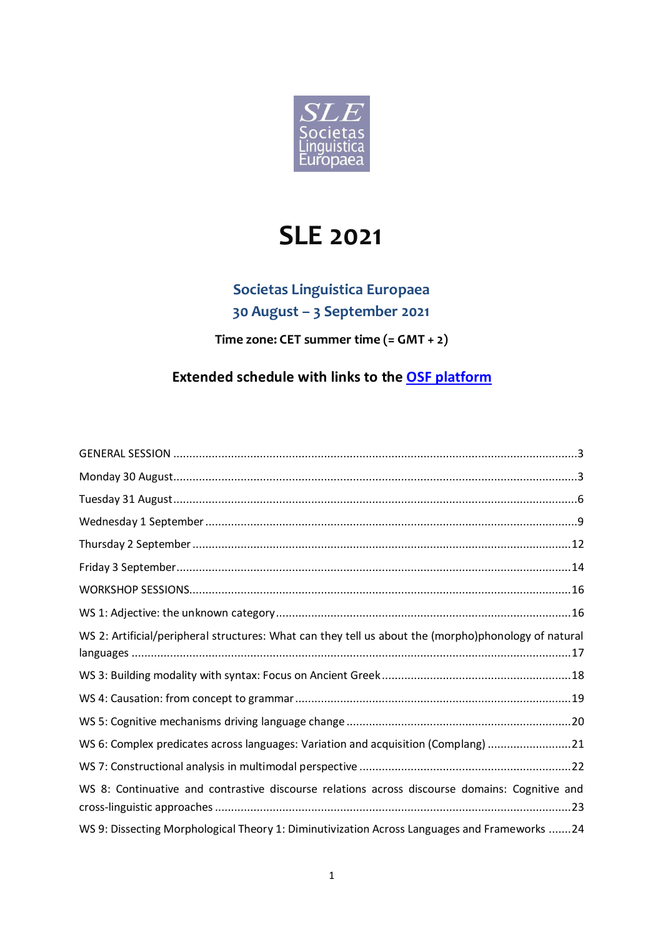

# **SLE 2021**

## **Societas Linguistica Europaea 30 August – 3 September 2021**

**Time zone: CET summer time (= GMT + 2)** 

## **Extended schedule with links to the [OSF platform](https://osf.io/meetings/SLE2021/)**

| WS 2: Artificial/peripheral structures: What can they tell us about the (morpho)phonology of natural |
|------------------------------------------------------------------------------------------------------|
|                                                                                                      |
|                                                                                                      |
|                                                                                                      |
| WS 6: Complex predicates across languages: Variation and acquisition (Complang) 21                   |
|                                                                                                      |
| WS 8: Continuative and contrastive discourse relations across discourse domains: Cognitive and       |
| WS 9: Dissecting Morphological Theory 1: Diminutivization Across Languages and Frameworks 24         |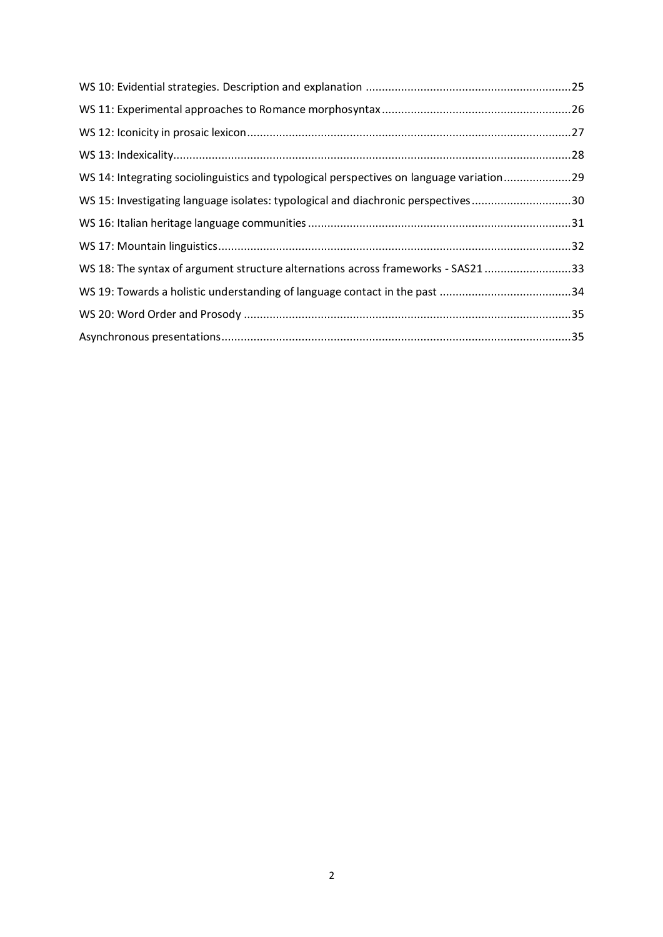| WS 14: Integrating sociolinguistics and typological perspectives on language variation29 |  |
|------------------------------------------------------------------------------------------|--|
| WS 15: Investigating language isolates: typological and diachronic perspectives30        |  |
|                                                                                          |  |
|                                                                                          |  |
| WS 18: The syntax of argument structure alternations across frameworks - SAS21 33        |  |
|                                                                                          |  |
|                                                                                          |  |
|                                                                                          |  |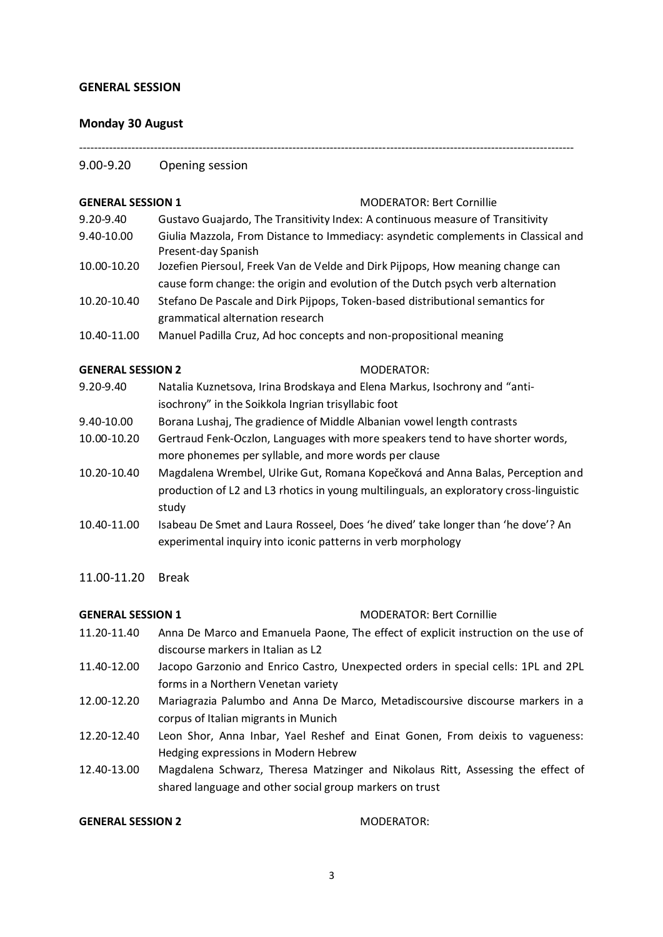#### **GENERAL SESSION**

#### <span id="page-2-0"></span>**Monday 30 August**

### ------------------------------------------------------------------------------------------------------------------------------------

### 9.00-9.20 Opening session

#### **GENERAL SESSION 1** MODERATOR: Bert Cornillie

- 9.20-9.40 Gustavo Guajardo, The Transitivity Index: A continuous measure of Transitivity 9.40-10.00 Giulia Mazzola, From Distance to Immediacy: asyndetic complements in Classical and Present-day Spanish
- 10.00-10.20 Jozefien Piersoul, Freek Van de Velde and Dirk Pijpops, How meaning change can cause form change: the origin and evolution of the Dutch psych verb alternation
- 10.20-10.40 Stefano De Pascale and Dirk Pijpops, Token-based distributional semantics for grammatical alternation research
- 10.40-11.00 Manuel Padilla Cruz, Ad hoc concepts and non-propositional meaning

#### **GENERAL SESSION 2** MODERATOR:

- 9.20-9.40 Natalia Kuznetsova, Irina Brodskaya and Elena Markus, Isochrony and "antiisochrony" in the Soikkola Ingrian trisyllabic foot
- 9.40-10.00 Borana Lushaj, The gradience of Middle Albanian vowel length contrasts
- 10.00-10.20 Gertraud Fenk-Oczlon, Languages with more speakers tend to have shorter words, more phonemes per syllable, and more words per clause
- 10.20-10.40 Magdalena Wrembel, Ulrike Gut, Romana Kopečková and Anna Balas, Perception and production of L2 and L3 rhotics in young multilinguals, an exploratory cross-linguistic study
- 10.40-11.00 Isabeau De Smet and Laura Rosseel, Does 'he dived' take longer than 'he dove'? An experimental inquiry into iconic patterns in verb morphology
- 11.00-11.20 Break

### **GENERAL SESSION 1** MODERATOR: Bert Cornillie

- 11.20-11.40 Anna De Marco and Emanuela Paone, The effect of explicit instruction on the use of discourse markers in Italian as L2
- 11.40-12.00 Jacopo Garzonio and Enrico Castro, Unexpected orders in special cells: 1PL and 2PL forms in a Northern Venetan variety
- 12.00-12.20 Mariagrazia Palumbo and Anna De Marco, Metadiscoursive discourse markers in a corpus of Italian migrants in Munich
- 12.20-12.40 Leon Shor, Anna Inbar, Yael Reshef and Einat Gonen, From deixis to vagueness: Hedging expressions in Modern Hebrew
- 12.40-13.00 Magdalena Schwarz, Theresa Matzinger and Nikolaus Ritt, Assessing the effect of shared language and other social group markers on trust

#### **GENERAL SESSION 2** MODERATOR: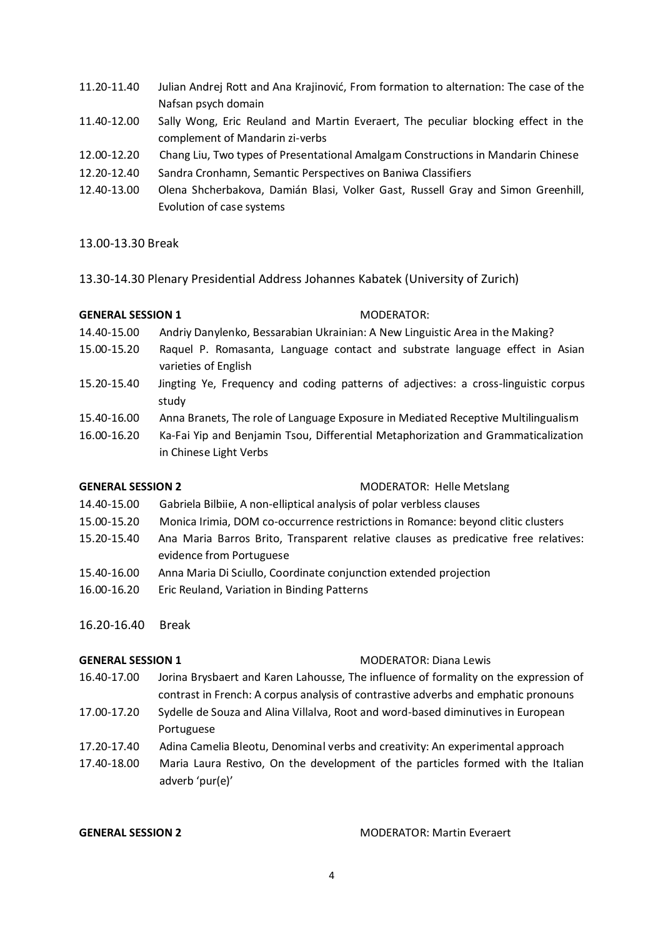- 11.20-11.40 Julian Andrej Rott and Ana Krajinović, From formation to alternation: The case of the Nafsan psych domain
- 11.40-12.00 Sally Wong, Eric Reuland and Martin Everaert, The peculiar blocking effect in the complement of Mandarin zi-verbs
- 12.00-12.20 Chang Liu, Two types of Presentational Amalgam Constructions in Mandarin Chinese
- 12.20-12.40 Sandra Cronhamn, Semantic Perspectives on Baniwa Classifiers
- 12.40-13.00 Olena Shcherbakova, Damián Blasi, Volker Gast, Russell Gray and Simon Greenhill, Evolution of case systems

### 13.00-13.30 Break

13.30-14.30 Plenary Presidential Address Johannes Kabatek (University of Zurich)

### **GENERAL SESSION 1** MODERATOR:

- 14.40-15.00 Andriy Danylenko, Bessarabian Ukrainian: A New Linguistic Area in the Making?
- 15.00-15.20 Raquel P. Romasanta, Language contact and substrate language effect in Asian varieties of English
- 15.20-15.40 Jingting Ye, Frequency and coding patterns of adjectives: a cross-linguistic corpus study
- 15.40-16.00 Anna Branets, The role of Language Exposure in Mediated Receptive Multilingualism
- 16.00-16.20 Ka-Fai Yip and Benjamin Tsou, Differential Metaphorization and Grammaticalization in Chinese Light Verbs

**GENERAL SESSION 2** MODERATOR: Helle Metslang

- 14.40-15.00 Gabriela Bilbiie, A non-elliptical analysis of polar verbless clauses
- 15.00-15.20 Monica Irimia, DOM co-occurrence restrictions in Romance: beyond clitic clusters
- 15.20-15.40 Ana Maria Barros Brito, Transparent relative clauses as predicative free relatives: evidence from Portuguese
- 15.40-16.00 Anna Maria Di Sciullo, Coordinate conjunction extended projection
- 16.00-16.20 Eric Reuland, Variation in Binding Patterns
- 16.20-16.40 Break

### **GENERAL SESSION 1** MODERATOR: Diana Lewis

- 16.40-17.00 Jorina Brysbaert and Karen Lahousse, The influence of formality on the expression of contrast in French: A corpus analysis of contrastive adverbs and emphatic pronouns
- 17.00-17.20 Sydelle de Souza and Alina Villalva, Root and word-based diminutives in European Portuguese
- 17.20-17.40 Adina Camelia Bleotu, Denominal verbs and creativity: An experimental approach
- 17.40-18.00 Maria Laura Restivo, On the development of the particles formed with the Italian adverb 'pur(e)'

**GENERAL SESSION 2** MODERATOR: Martin Everaert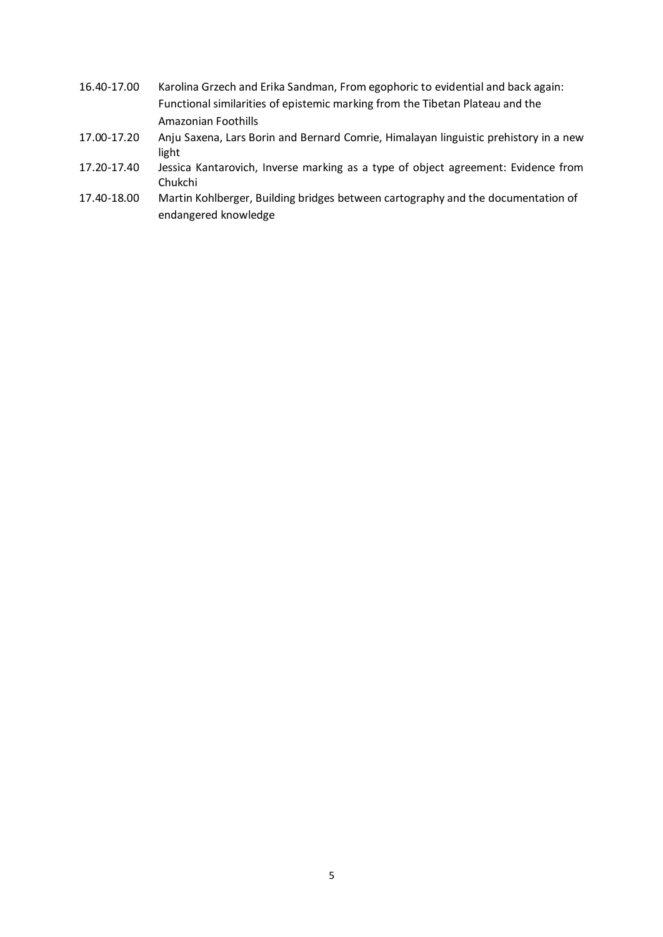- 16.40-17.00 Karolina Grzech and Erika Sandman, From egophoric to evidential and back again: Functional similarities of epistemic marking from the Tibetan Plateau and the Amazonian Foothills
- 17.00-17.20 Anju Saxena, Lars Borin and Bernard Comrie, Himalayan linguistic prehistory in a new light
- 17.20-17.40 Jessica Kantarovich, Inverse marking as a type of object agreement: Evidence from Chukchi
- 17.40-18.00 Martin Kohlberger, Building bridges between cartography and the documentation of endangered knowledge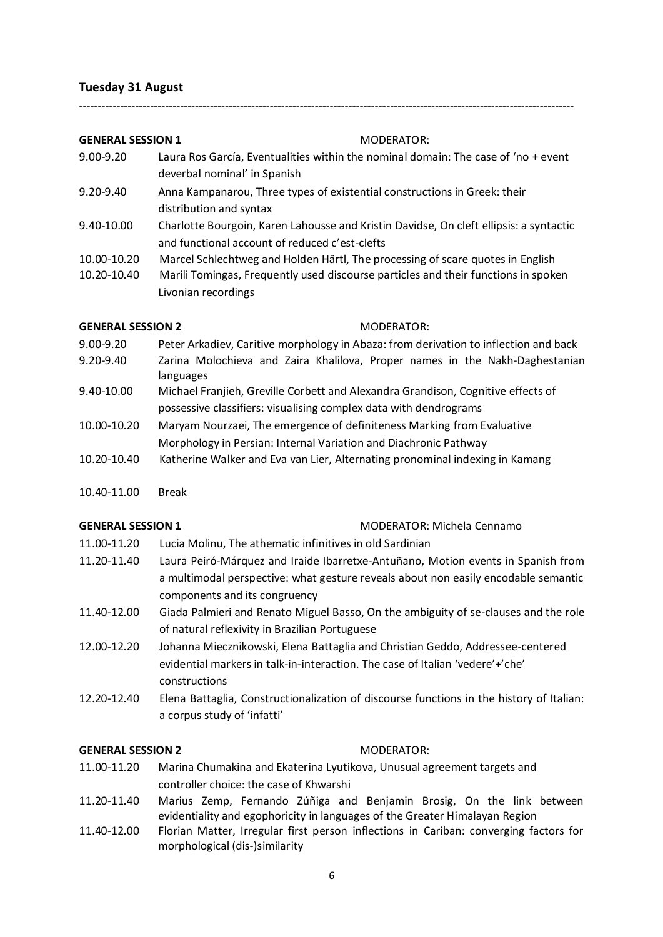#### <span id="page-5-0"></span>**Tuesday 31 August**

#### **GENERAL SESSION 1** MODERATOR:

9.00-9.20 Laura Ros García, Eventualities within the nominal domain: The case of 'no + event deverbal nominal' in Spanish

------------------------------------------------------------------------------------------------------------------------------------

- 9.20-9.40 Anna Kampanarou, Three types of existential constructions in Greek: their distribution and syntax
- 9.40-10.00 Charlotte Bourgoin, Karen Lahousse and Kristin Davidse, On cleft ellipsis: a syntactic and functional account of reduced c'est-clefts
- 10.00-10.20 Marcel Schlechtweg and Holden Härtl, The processing of scare quotes in English
- 10.20-10.40 Marili Tomingas, Frequently used discourse particles and their functions in spoken Livonian recordings

#### **GENERAL SESSION 2** MODERATOR:

- 9.00-9.20 Peter Arkadiev, Caritive morphology in Abaza: from derivation to inflection and back
- 9.20-9.40 Zarina Molochieva and Zaira Khalilova, Proper names in the Nakh-Daghestanian languages
- 9.40-10.00 Michael Franjieh, Greville Corbett and Alexandra Grandison, Cognitive effects of possessive classifiers: visualising complex data with dendrograms
- 10.00-10.20 Maryam Nourzaei, The emergence of definiteness Marking from Evaluative Morphology in Persian: Internal Variation and Diachronic Pathway
- 10.20-10.40 Katherine Walker and Eva van Lier, Alternating pronominal indexing in Kamang
- 10.40-11.00 Break

#### **GENERAL SESSION 1** MODERATOR: Michela Cennamo

- 11.00-11.20 Lucia Molinu, The athematic infinitives in old Sardinian
- 11.20-11.40 Laura Peiró-Márquez and Iraide Ibarretxe-Antuñano, Motion events in Spanish from a multimodal perspective: what gesture reveals about non easily encodable semantic components and its congruency
- 11.40-12.00 Giada Palmieri and Renato Miguel Basso, On the ambiguity of se-clauses and the role of natural reflexivity in Brazilian Portuguese
- 12.00-12.20 Johanna Miecznikowski, Elena Battaglia and Christian Geddo, Addressee-centered evidential markers in talk-in-interaction. The case of Italian 'vedere'+'che' constructions
- 12.20-12.40 Elena Battaglia, Constructionalization of discourse functions in the history of Italian: a corpus study of 'infatti'

#### **GENERAL SESSION 2** MODERATOR:

- 11.00-11.20 Marina Chumakina and Ekaterina Lyutikova, Unusual agreement targets and controller choice: the case of Khwarshi
- 11.20-11.40 Marius Zemp, Fernando Zúñiga and Benjamin Brosig, On the link between evidentiality and egophoricity in languages of the Greater Himalayan Region
- 11.40-12.00 Florian Matter, Irregular first person inflections in Cariban: converging factors for morphological (dis-)similarity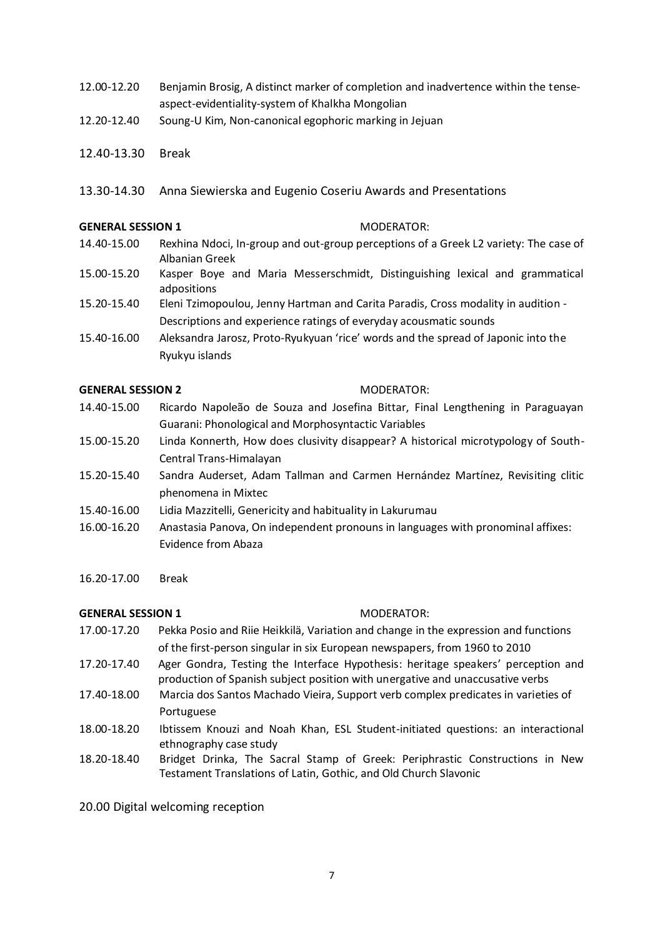- 12.00-12.20 Benjamin Brosig, A distinct marker of completion and inadvertence within the tenseaspect-evidentiality-system of Khalkha Mongolian
- 12.20-12.40 Soung-U Kim, Non-canonical egophoric marking in Jejuan
- 12.40-13.30 Break
- 13.30-14.30 Anna Siewierska and Eugenio Coseriu Awards and Presentations

#### **GENERAL SESSION 1** MODERATOR:

- 14.40-15.00 Rexhina Ndoci, In-group and out-group perceptions of a Greek L2 variety: The case of Albanian Greek
- 15.00-15.20 Kasper Boye and Maria Messerschmidt, Distinguishing lexical and grammatical adpositions
- 15.20-15.40 Eleni Tzimopoulou, Jenny Hartman and Carita Paradis, Cross modality in audition Descriptions and experience ratings of everyday acousmatic sounds
- 15.40-16.00 Aleksandra Jarosz, Proto-Ryukyuan 'rice' words and the spread of Japonic into the Ryukyu islands

#### **GENERAL SESSION 2** MODERATOR:

- 14.40-15.00 Ricardo Napoleão de Souza and Josefina Bittar, Final Lengthening in Paraguayan Guarani: Phonological and Morphosyntactic Variables
- 15.00-15.20 Linda Konnerth, How does clusivity disappear? A historical microtypology of South-Central Trans-Himalayan
- 15.20-15.40 Sandra Auderset, Adam Tallman and Carmen Hernández Martínez, Revisiting clitic phenomena in Mixtec
- 15.40-16.00 Lidia Mazzitelli, Genericity and habituality in Lakurumau
- 16.00-16.20 Anastasia Panova, On independent pronouns in languages with pronominal affixes: Evidence from Abaza
- 16.20-17.00 Break

#### **GENERAL SESSION 1** MODERATOR:

- 17.00-17.20 Pekka Posio and Riie Heikkilä, Variation and change in the expression and functions of the first-person singular in six European newspapers, from 1960 to 2010
- 17.20-17.40 Ager Gondra, Testing the Interface Hypothesis: heritage speakers' perception and production of Spanish subject position with unergative and unaccusative verbs
- 17.40-18.00 Marcia dos Santos Machado Vieira, Support verb complex predicates in varieties of Portuguese
- 18.00-18.20 Ibtissem Knouzi and Noah Khan, ESL Student-initiated questions: an interactional ethnography case study
- 18.20-18.40 Bridget Drinka, The Sacral Stamp of Greek: Periphrastic Constructions in New Testament Translations of Latin, Gothic, and Old Church Slavonic

20.00 Digital welcoming reception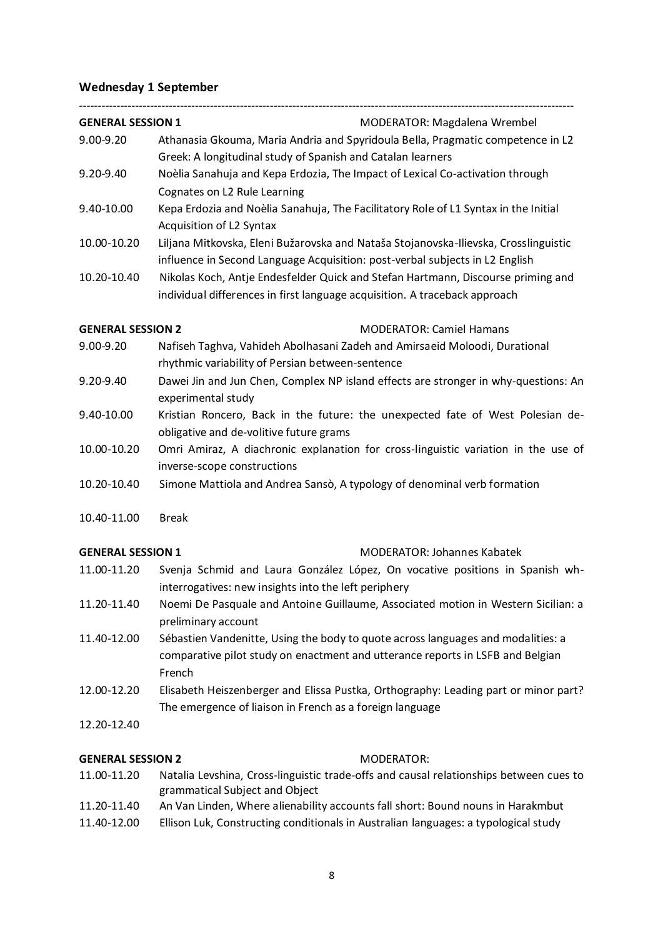### <span id="page-7-0"></span>**Wednesday 1 September**

### ------------------------------------------------------------------------------------------------------------------------------------ **GENERAL SESSION 1** MODERATOR: Magdalena Wrembel

- 9.00-9.20 Athanasia Gkouma, Maria Andria and Spyridoula Bella, Pragmatic competence in L2 Greek: A longitudinal study of Spanish and Catalan learners
- 9.20-9.40 Noèlia Sanahuja and Kepa Erdozia, The Impact of Lexical Co-activation through Cognates on L2 Rule Learning
- 9.40-10.00 Kepa Erdozia and Noèlia Sanahuja, The Facilitatory Role of L1 Syntax in the Initial Acquisition of L2 Syntax
- 10.00-10.20 Liljana Mitkovska, Eleni Bužarovska and Nataša Stojanovska-Ilievska, Crosslinguistic influence in Second Language Acquisition: post-verbal subjects in L2 English
- 10.20-10.40 Nikolas Koch, Antje Endesfelder Quick and Stefan Hartmann, Discourse priming and individual differences in first language acquisition. A traceback approach

**GENERAL SESSION 2** MODERATOR: Camiel Hamans

- 9.00-9.20 Nafiseh Taghva, Vahideh Abolhasani Zadeh and Amirsaeid Moloodi, Durational rhythmic variability of Persian between-sentence
- 9.20-9.40 Dawei Jin and Jun Chen, Complex NP island effects are stronger in why-questions: An experimental study
- 9.40-10.00 Kristian Roncero, Back in the future: the unexpected fate of West Polesian deobligative and de-volitive future grams
- 10.00-10.20 Omri Amiraz, A diachronic explanation for cross-linguistic variation in the use of inverse-scope constructions
- 10.20-10.40 Simone Mattiola and Andrea Sansò, A typology of denominal verb formation
- 10.40-11.00 Break

#### **GENERAL SESSION 1** MODERATOR: Johannes Kabatek

- 11.00-11.20 Svenja Schmid and Laura González López, On vocative positions in Spanish whinterrogatives: new insights into the left periphery
- 11.20-11.40 Noemi De Pasquale and Antoine Guillaume, Associated motion in Western Sicilian: a preliminary account
- 11.40-12.00 Sébastien Vandenitte, Using the body to quote across languages and modalities: a comparative pilot study on enactment and utterance reports in LSFB and Belgian French
- 12.00-12.20 Elisabeth Heiszenberger and Elissa Pustka, Orthography: Leading part or minor part? The emergence of liaison in French as a foreign language
- 12.20-12.40

### **GENERAL SESSION 2** MODERATOR:

- 11.00-11.20 Natalia Levshina, Cross-linguistic trade-offs and causal relationships between cues to grammatical Subject and Object
- 11.20-11.40 An Van Linden, Where alienability accounts fall short: Bound nouns in Harakmbut
- 11.40-12.00 Ellison Luk, Constructing conditionals in Australian languages: a typological study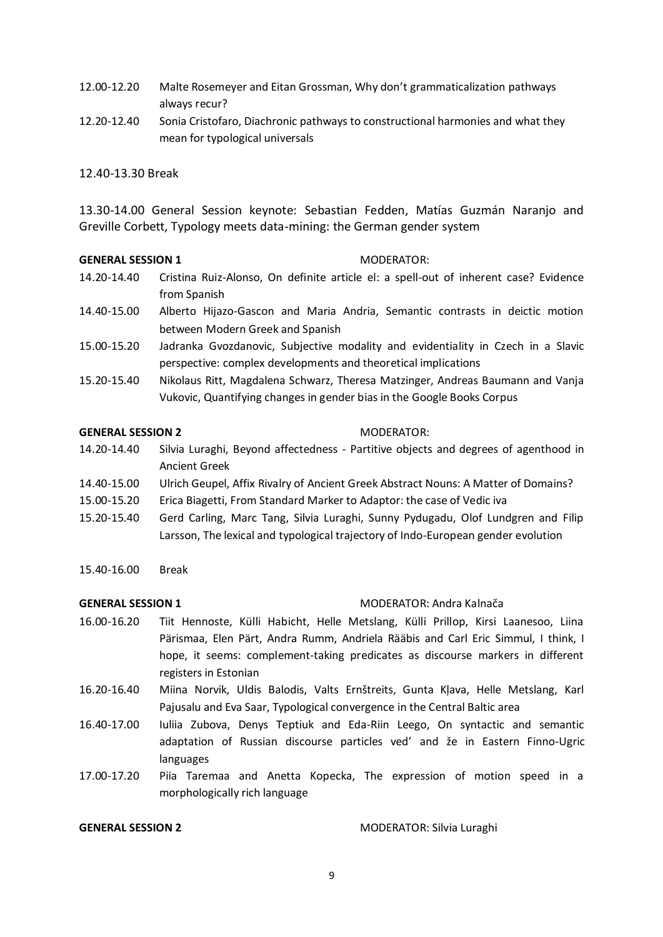- 12.00-12.20 Malte Rosemeyer and Eitan Grossman, Why don't grammaticalization pathways always recur?
- 12.20-12.40 Sonia Cristofaro, Diachronic pathways to constructional harmonies and what they mean for typological universals

#### 12.40-13.30 Break

13.30-14.00 General Session keynote: Sebastian Fedden, Matías Guzmán Naranjo and Greville Corbett, Typology meets data-mining: the German gender system

#### **GENERAL SESSION 1** MODERATOR:

- 
- 14.20-14.40 Cristina Ruiz-Alonso, On definite article el: a spell-out of inherent case? Evidence from Spanish
- 14.40-15.00 Alberto Hijazo-Gascon and Maria Andria, Semantic contrasts in deictic motion between Modern Greek and Spanish
- 15.00-15.20 Jadranka Gvozdanovic, Subjective modality and evidentiality in Czech in a Slavic perspective: complex developments and theoretical implications
- 15.20-15.40 Nikolaus Ritt, Magdalena Schwarz, Theresa Matzinger, Andreas Baumann and Vanja Vukovic, Quantifying changes in gender bias in the Google Books Corpus

#### **GENERAL SESSION 2** MODERATOR:

- 14.20-14.40 Silvia Luraghi, Beyond affectedness Partitive objects and degrees of agenthood in Ancient Greek
- 14.40-15.00 Ulrich Geupel, Affix Rivalry of Ancient Greek Abstract Nouns: A Matter of Domains?
- 15.00-15.20 Erica Biagetti, From Standard Marker to Adaptor: the case of Vedic iva
- 15.20-15.40 Gerd Carling, Marc Tang, Silvia Luraghi, Sunny Pydugadu, Olof Lundgren and Filip Larsson, The lexical and typological trajectory of Indo-European gender evolution
- 15.40-16.00 Break

### **GENERAL SESSION 1** MODERATOR: Andra Kalnača

- 16.00-16.20 Tiit Hennoste, Külli Habicht, Helle Metslang, Külli Prillop, Kirsi Laanesoo, Liina Pärismaa, Elen Pärt, Andra Rumm, Andriela Rääbis and Carl Eric Simmul, I think, I hope, it seems: complement-taking predicates as discourse markers in different registers in Estonian
- 16.20-16.40 Miina Norvik, Uldis Balodis, Valts Ernštreits, Gunta Kļava, Helle Metslang, Karl Pajusalu and Eva Saar, Typological convergence in the Central Baltic area
- 16.40-17.00 Iuliia Zubova, Denys Teptiuk and Eda-Riin Leego, On syntactic and semantic adaptation of Russian discourse particles ved' and že in Eastern Finno-Ugric languages
- 17.00-17.20 Piia Taremaa and Anetta Kopecka, The expression of motion speed in a morphologically rich language

**GENERAL SESSION 2** MODERATOR: Silvia Luraghi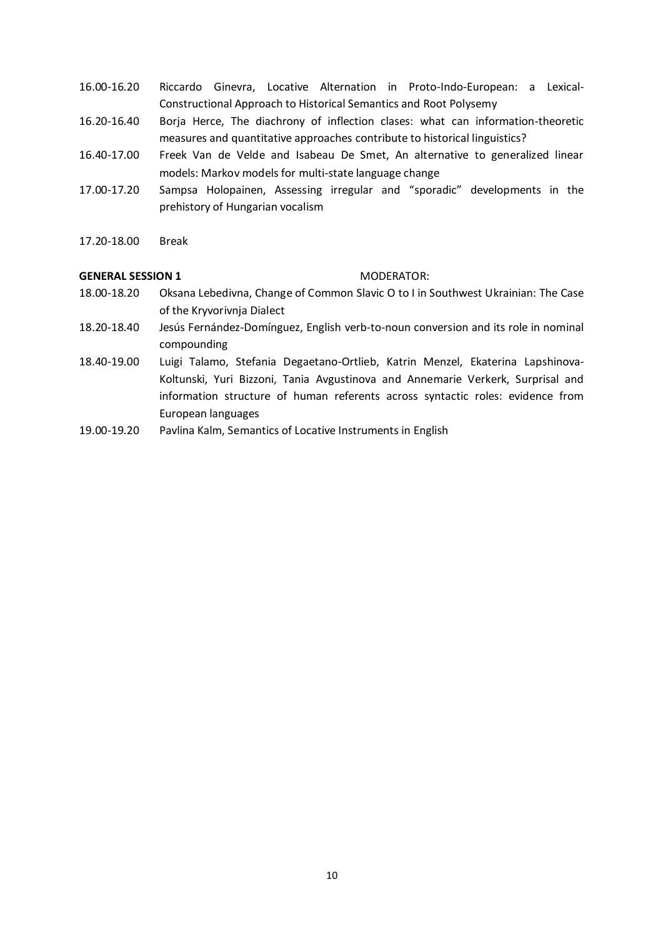- 16.00-16.20 Riccardo Ginevra, Locative Alternation in Proto-Indo-European: a Lexical-Constructional Approach to Historical Semantics and Root Polysemy
- 16.20-16.40 Borja Herce, The diachrony of inflection clases: what can information-theoretic measures and quantitative approaches contribute to historical linguistics?
- 16.40-17.00 Freek Van de Velde and Isabeau De Smet, An alternative to generalized linear models: Markov models for multi-state language change
- 17.00-17.20 Sampsa Holopainen, Assessing irregular and "sporadic" developments in the prehistory of Hungarian vocalism
- 17.20-18.00 Break

#### **GENERAL SESSION 1** MODERATOR:

- 18.00-18.20 Oksana Lebedivna, Change of Common Slavic O to I in Southwest Ukrainian: The Case of the Kryvorivnja Dialect
- 18.20-18.40 Jesús Fernández-Domínguez, English verb-to-noun conversion and its role in nominal compounding
- 18.40-19.00 Luigi Talamo, Stefania Degaetano-Ortlieb, Katrin Menzel, Ekaterina Lapshinova-Koltunski, Yuri Bizzoni, Tania Avgustinova and Annemarie Verkerk, Surprisal and information structure of human referents across syntactic roles: evidence from European languages
- 19.00-19.20 Pavlina Kalm, Semantics of Locative Instruments in English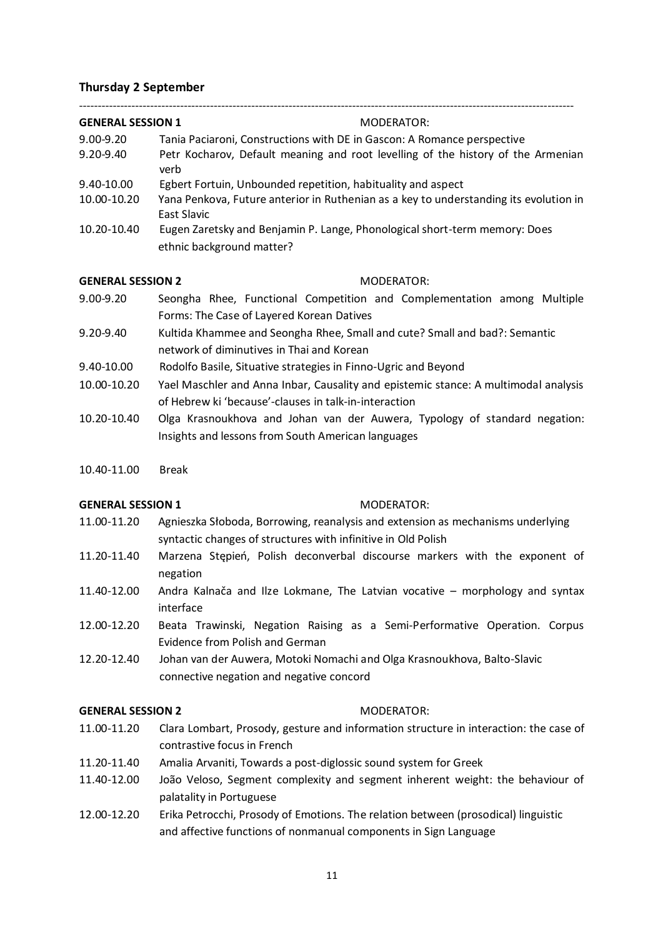#### <span id="page-10-0"></span>**Thursday 2 September**

| <b>GENERAL SESSION 1</b> | MODERATOR:                                                                                              |
|--------------------------|---------------------------------------------------------------------------------------------------------|
|                          |                                                                                                         |
| $9.00 - 9.20$            | Tania Paciaroni, Constructions with DE in Gascon: A Romance perspective                                 |
| $9.20 - 9.40$            | Petr Kocharov, Default meaning and root levelling of the history of the Armenian<br>verb                |
| 9.40-10.00               | Egbert Fortuin, Unbounded repetition, habituality and aspect                                            |
| 10.00-10.20              | Yana Penkova, Future anterior in Ruthenian as a key to understanding its evolution in<br>East Slavic    |
| 10.20-10.40              | Eugen Zaretsky and Benjamin P. Lange, Phonological short-term memory: Does<br>ethnic background matter? |

#### **GENERAL SESSION 2** MODERATOR:

- 9.00-9.20 Seongha Rhee, Functional Competition and Complementation among Multiple Forms: The Case of Layered Korean Datives
- 9.20-9.40 Kultida Khammee and Seongha Rhee, Small and cute? Small and bad?: Semantic network of diminutives in Thai and Korean
- 9.40-10.00 Rodolfo Basile, Situative strategies in Finno-Ugric and Beyond
- 10.00-10.20 Yael Maschler and Anna Inbar, Causality and epistemic stance: A multimodal analysis of Hebrew ki 'because'-clauses in talk-in-interaction
- 10.20-10.40 Olga Krasnoukhova and Johan van der Auwera, Typology of standard negation: Insights and lessons from South American languages
- 10.40-11.00 Break

#### **GENERAL SESSION 1** MODERATOR:

- 11.00-11.20 Agnieszka Słoboda, Borrowing, reanalysis and extension as mechanisms underlying syntactic changes of structures with infinitive in Old Polish
- 11.20-11.40 Marzena Stępień, Polish deconverbal discourse markers with the exponent of negation
- 11.40-12.00 Andra Kalnača and Ilze Lokmane, The Latvian vocative morphology and syntax interface
- 12.00-12.20 Beata Trawinski, Negation Raising as a Semi-Performative Operation. Corpus Evidence from Polish and German
- 12.20-12.40 Johan van der Auwera, Motoki Nomachi and Olga Krasnoukhova, Balto-Slavic connective negation and negative concord

### **GENERAL SESSION 2** MODERATOR:

- 11.00-11.20 Clara Lombart, Prosody, gesture and information structure in interaction: the case of contrastive focus in French
- 11.20-11.40 Amalia Arvaniti, Towards a post-diglossic sound system for Greek
- 11.40-12.00 João Veloso, Segment complexity and segment inherent weight: the behaviour of palatality in Portuguese
- 12.00-12.20 Erika Petrocchi, Prosody of Emotions. The relation between (prosodical) linguistic and affective functions of nonmanual components in Sign Language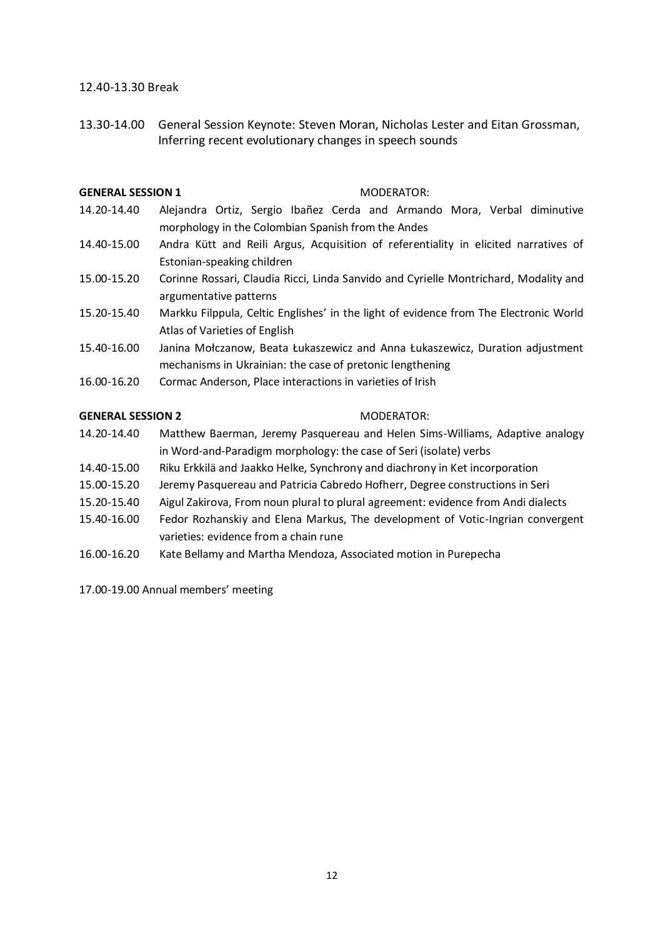#### 12.40-13.30 Break

13.30-14.00 General Session Keynote: Steven Moran, Nicholas Lester and Eitan Grossman, Inferring recent evolutionary changes in speech sounds

#### **GENERAL SESSION 1** MODERATOR:

- 14.20-14.40 Alejandra Ortiz, Sergio Ibañez Cerda and Armando Mora, Verbal diminutive morphology in the Colombian Spanish from the Andes
- 14.40-15.00 Andra Kütt and Reili Argus, Acquisition of referentiality in elicited narratives of Estonian-speaking children
- 15.00-15.20 Corinne Rossari, Claudia Ricci, Linda Sanvido and Cyrielle Montrichard, Modality and argumentative patterns
- 15.20-15.40 Markku Filppula, Celtic Englishes' in the light of evidence from The Electronic World Atlas of Varieties of English
- 15.40-16.00 Janina Mołczanow, Beata Łukaszewicz and Anna Łukaszewicz, Duration adjustment mechanisms in Ukrainian: the case of pretonic lengthening
- 16.00-16.20 Cormac Anderson, Place interactions in varieties of Irish

#### **GENERAL SESSION 2** MODERATOR:

- 14.20-14.40 Matthew Baerman, Jeremy Pasquereau and Helen Sims-Williams, Adaptive analogy in Word-and-Paradigm morphology: the case of Seri (isolate) verbs
- 14.40-15.00 Riku Erkkilä and Jaakko Helke, Synchrony and diachrony in Ket incorporation
- 15.00-15.20 Jeremy Pasquereau and Patricia Cabredo Hofherr, Degree constructions in Seri
- 15.20-15.40 Aigul Zakirova, From noun plural to plural agreement: evidence from Andi dialects
- 15.40-16.00 Fedor Rozhanskiy and Elena Markus, The development of Votic-Ingrian convergent varieties: evidence from a chain rune
- 16.00-16.20 Kate Bellamy and Martha Mendoza, Associated motion in Purepecha

17.00-19.00 Annual members' meeting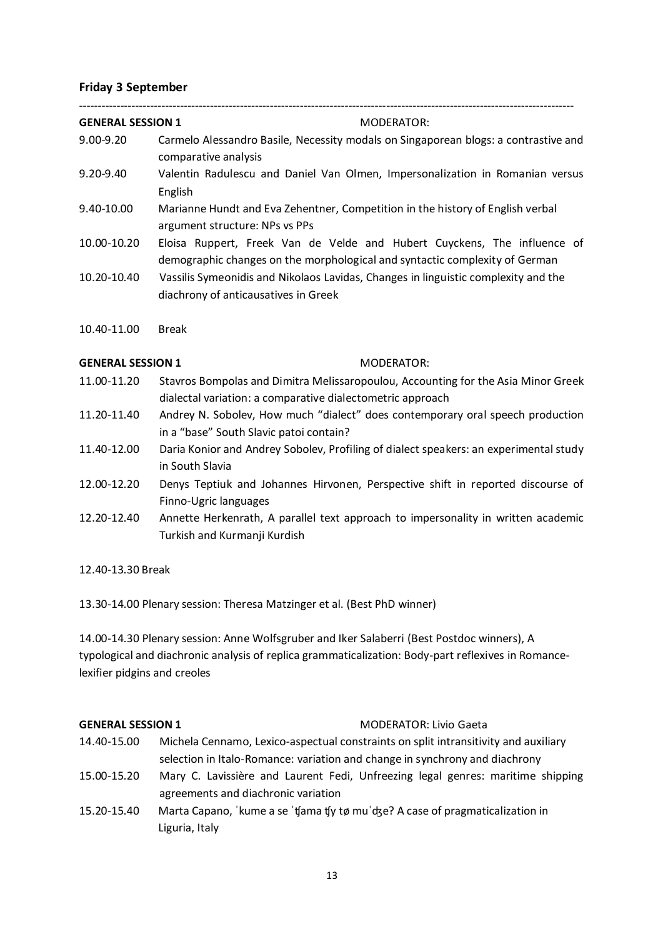### <span id="page-12-0"></span>**Friday 3 September**

| <b>GENERAL SESSION 1</b> | MODERATOR:                                                                                                                                              |
|--------------------------|---------------------------------------------------------------------------------------------------------------------------------------------------------|
| 9.00-9.20                | Carmelo Alessandro Basile, Necessity modals on Singaporean blogs: a contrastive and<br>comparative analysis                                             |
| 9.20-9.40                | Valentin Radulescu and Daniel Van Olmen, Impersonalization in Romanian versus<br>English                                                                |
| 9.40-10.00               | Marianne Hundt and Eva Zehentner, Competition in the history of English verbal<br>argument structure: NPs vs PPs                                        |
| 10.00-10.20              | Eloisa Ruppert, Freek Van de Velde and Hubert Cuyckens, The influence of<br>demographic changes on the morphological and syntactic complexity of German |
| 10.20-10.40              | Vassilis Symeonidis and Nikolaos Lavidas, Changes in linguistic complexity and the<br>diachrony of anticausatives in Greek                              |
| 10.40-11.00              | <b>Break</b>                                                                                                                                            |
| <b>GENERAL SESSION 1</b> | <b>MODERATOR:</b>                                                                                                                                       |
| 11.00-11.20              | Stavros Bompolas and Dimitra Melissaropoulou, Accounting for the Asia Minor Greek                                                                       |
|                          | dialectal variation: a comparative dialectometric approach                                                                                              |
| 11.20-11.40              | Andrey N. Sobolev, How much "dialect" does contemporary oral speech production<br>in a "base" South Slavic patoi contain?                               |

- 11.40-12.00 Daria Konior and Andrey Sobolev, Profiling of dialect speakers: an experimental study in South Slavia
- 12.00-12.20 Denys Teptiuk and Johannes Hirvonen, Perspective shift in reported discourse of Finno-Ugric languages
- 12.20-12.40 Annette Herkenrath, A parallel text approach to impersonality in written academic Turkish and Kurmanji Kurdish

12.40-13.30 Break

13.30-14.00 Plenary session: Theresa Matzinger et al. (Best PhD winner)

14.00-14.30 Plenary session: Anne Wolfsgruber and Iker Salaberri (Best Postdoc winners), A typological and diachronic analysis of replica grammaticalization: Body-part reflexives in Romancelexifier pidgins and creoles

**GENERAL SESSION 1** MODERATOR: Livio Gaeta

- 14.40-15.00 Michela Cennamo, Lexico-aspectual constraints on split intransitivity and auxiliary selection in Italo-Romance: variation and change in synchrony and diachrony
- 15.00-15.20 Mary C. Lavissière and Laurent Fedi, Unfreezing legal genres: maritime shipping agreements and diachronic variation
- 15.20-15.40 Marta Capano, ˈkume a se ˈʧama ʧy tø muˈʤe? A case of pragmaticalization in Liguria, Italy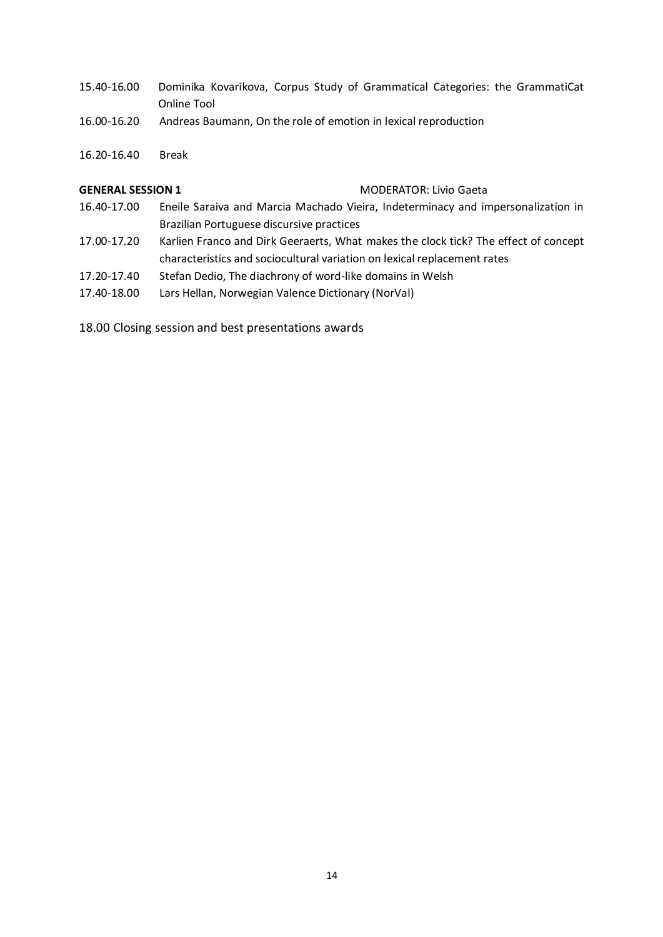- 15.40-16.00 Dominika Kovarikova, Corpus Study of Grammatical Categories: the GrammatiCat Online Tool
- 16.00-16.20 Andreas Baumann, On the role of emotion in lexical reproduction
- 16.20-16.40 Break

#### **GENERAL SESSION 1** MODERATOR: Livio Gaeta

- 16.40-17.00 Eneile Saraiva and Marcia Machado Vieira, Indeterminacy and impersonalization in Brazilian Portuguese discursive practices
- 17.00-17.20 Karlien Franco and Dirk Geeraerts, What makes the clock tick? The effect of concept characteristics and sociocultural variation on lexical replacement rates
- 17.20-17.40 Stefan Dedio, The diachrony of word-like domains in Welsh
- 17.40-18.00 Lars Hellan, Norwegian Valence Dictionary (NorVal)

18.00 Closing session and best presentations awards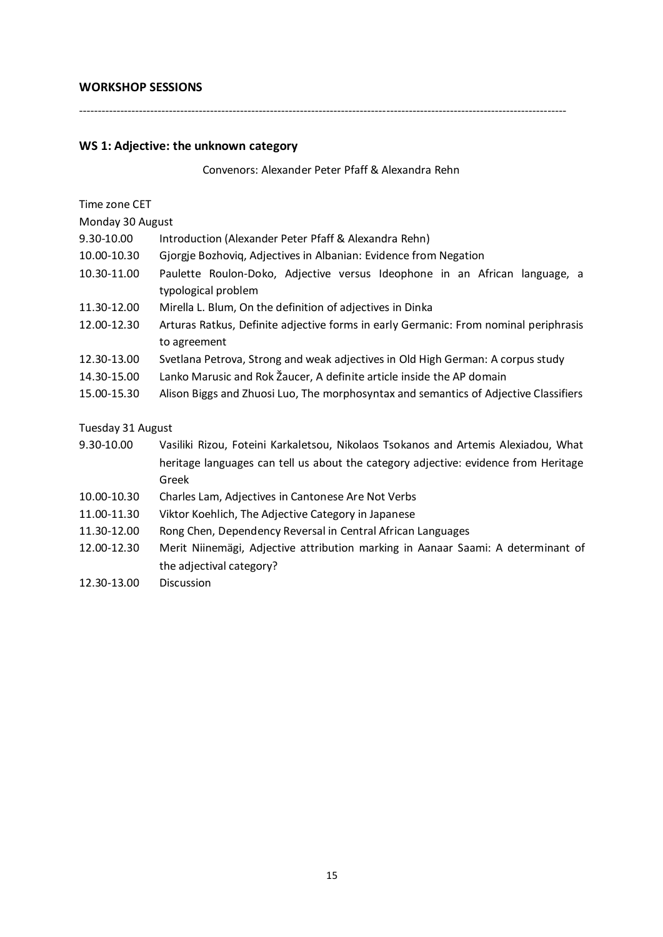### <span id="page-14-0"></span>**WORKSHOP SESSIONS**

----------------------------------------------------------------------------------------------------------------------------------

### <span id="page-14-1"></span>**WS 1: Adjective: the unknown category**

Convenors: Alexander Peter Pfaff & Alexandra Rehn

| Time zone CET     |                                                                                                              |  |  |  |  |  |
|-------------------|--------------------------------------------------------------------------------------------------------------|--|--|--|--|--|
| Monday 30 August  |                                                                                                              |  |  |  |  |  |
| 9.30-10.00        | Introduction (Alexander Peter Pfaff & Alexandra Rehn)                                                        |  |  |  |  |  |
| 10.00-10.30       | Gjorgje Bozhoviq, Adjectives in Albanian: Evidence from Negation                                             |  |  |  |  |  |
| 10.30-11.00       | Paulette Roulon-Doko, Adjective versus Ideophone in an African language, a<br>typological problem            |  |  |  |  |  |
| 11.30-12.00       | Mirella L. Blum, On the definition of adjectives in Dinka                                                    |  |  |  |  |  |
| 12.00-12.30       | Arturas Ratkus, Definite adjective forms in early Germanic: From nominal periphrasis<br>to agreement         |  |  |  |  |  |
| 12.30-13.00       | Svetlana Petrova, Strong and weak adjectives in Old High German: A corpus study                              |  |  |  |  |  |
| 14.30-15.00       | Lanko Marusic and Rok Žaucer, A definite article inside the AP domain                                        |  |  |  |  |  |
| 15.00-15.30       | Alison Biggs and Zhuosi Luo, The morphosyntax and semantics of Adjective Classifiers                         |  |  |  |  |  |
| Tuesday 31 August |                                                                                                              |  |  |  |  |  |
| 9.30-10.00        | Vasiliki Rizou, Foteini Karkaletsou, Nikolaos Tsokanos and Artemis Alexiadou, What                           |  |  |  |  |  |
|                   | heritage languages can tell us about the category adjective: evidence from Heritage<br>Greek                 |  |  |  |  |  |
| 10.00-10.30       | Charles Lam, Adjectives in Cantonese Are Not Verbs                                                           |  |  |  |  |  |
| 11.00-11.30       | Viktor Koehlich, The Adjective Category in Japanese                                                          |  |  |  |  |  |
| 11.30-12.00       | Rong Chen, Dependency Reversal in Central African Languages                                                  |  |  |  |  |  |
| 12.00-12.30       | Merit Niinemägi, Adjective attribution marking in Aanaar Saami: A determinant of<br>the adjectival category? |  |  |  |  |  |
| 12.30-13.00       | <b>Discussion</b>                                                                                            |  |  |  |  |  |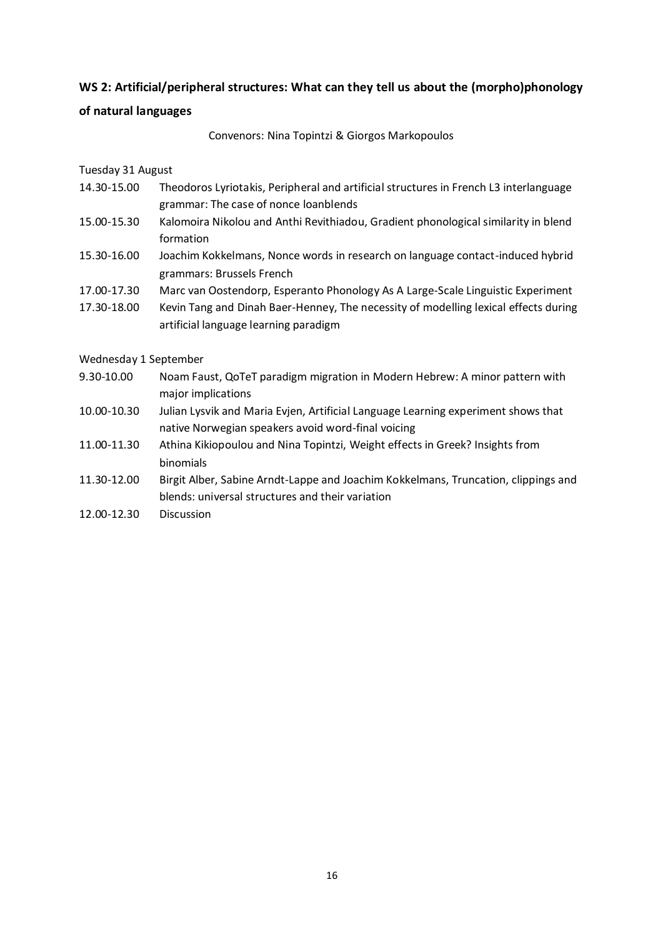### <span id="page-15-0"></span>**WS 2: Artificial/peripheral structures: What can they tell us about the (morpho)phonology**

### **of natural languages**

Convenors: Nina Topintzi & Giorgos Markopoulos

### Tuesday 31 August

- 14.30-15.00 Theodoros Lyriotakis, Peripheral and artificial structures in French L3 interlanguage grammar: The case of nonce loanblends
- 15.00-15.30 Kalomoira Nikolou and Anthi Revithiadou, Gradient phonological similarity in blend formation
- 15.30-16.00 Joachim Kokkelmans, Nonce words in research on language contact-induced hybrid grammars: Brussels French
- 17.00-17.30 Marc van Oostendorp, Esperanto Phonology As A Large-Scale Linguistic Experiment
- 17.30-18.00 Kevin Tang and Dinah Baer-Henney, The necessity of modelling lexical effects during artificial language learning paradigm

### Wednesday 1 September

- 9.30-10.00 Noam Faust, QoTeT paradigm migration in Modern Hebrew: A minor pattern with major implications
- 10.00-10.30 Julian Lysvik and Maria Evjen, Artificial Language Learning experiment shows that native Norwegian speakers avoid word-final voicing
- 11.00-11.30 Athina Kikiopoulou and Nina Topintzi, Weight effects in Greek? Insights from binomials
- 11.30-12.00 Birgit Alber, Sabine Arndt-Lappe and Joachim Kokkelmans, Truncation, clippings and blends: universal structures and their variation
- 12.00-12.30 Discussion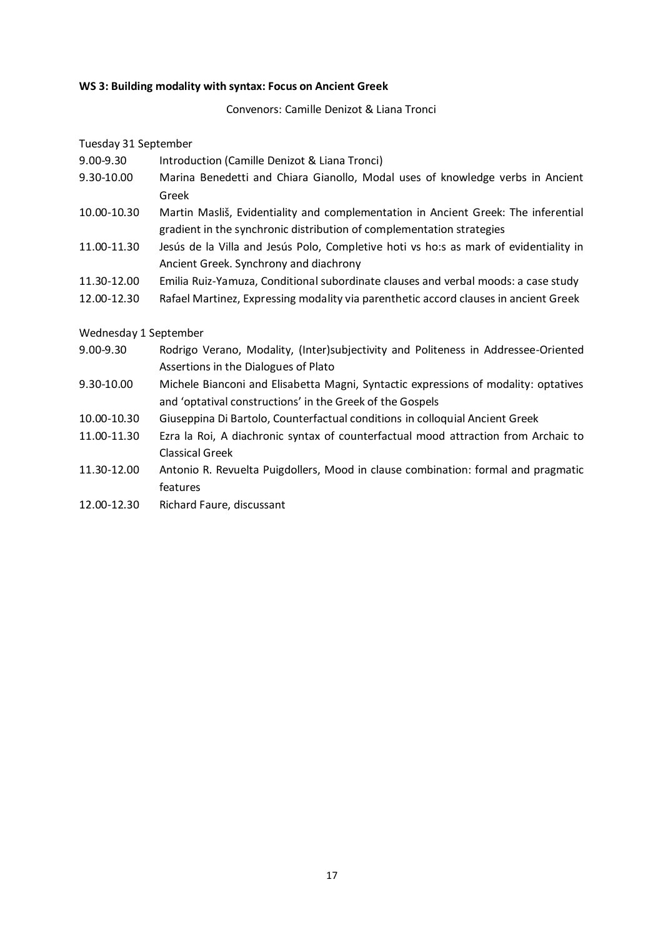#### <span id="page-16-0"></span>**WS 3: Building modality with syntax: Focus on Ancient Greek**

Convenors: Camille Denizot & Liana Tronci

Tuesday 31 September

- 9.00-9.30 Introduction (Camille Denizot & Liana Tronci)
- 9.30-10.00 Marina Benedetti and Chiara Gianollo, Modal uses of knowledge verbs in Ancient Greek
- 10.00-10.30 Martin Masliš, Evidentiality and complementation in Ancient Greek: The inferential gradient in the synchronic distribution of complementation strategies
- 11.00-11.30 Jesús de la Villa and Jesús Polo, Completive hoti vs ho:s as mark of evidentiality in Ancient Greek. Synchrony and diachrony
- 11.30-12.00 Emilia Ruiz-Yamuza, Conditional subordinate clauses and verbal moods: a case study
- 12.00-12.30 Rafael Martinez, Expressing modality via parenthetic accord clauses in ancient Greek

### Wednesday 1 September

- 9.00-9.30 Rodrigo Verano, Modality, (Inter)subjectivity and Politeness in Addressee-Oriented Assertions in the Dialogues of Plato
- 9.30-10.00 Michele Bianconi and Elisabetta Magni, Syntactic expressions of modality: optatives and 'optatival constructions' in the Greek of the Gospels
- 10.00-10.30 Giuseppina Di Bartolo, Counterfactual conditions in colloquial Ancient Greek
- 11.00-11.30 Ezra la Roi, A diachronic syntax of counterfactual mood attraction from Archaic to Classical Greek
- 11.30-12.00 Antonio R. Revuelta Puigdollers, Mood in clause combination: formal and pragmatic features
- 12.00-12.30 Richard Faure, discussant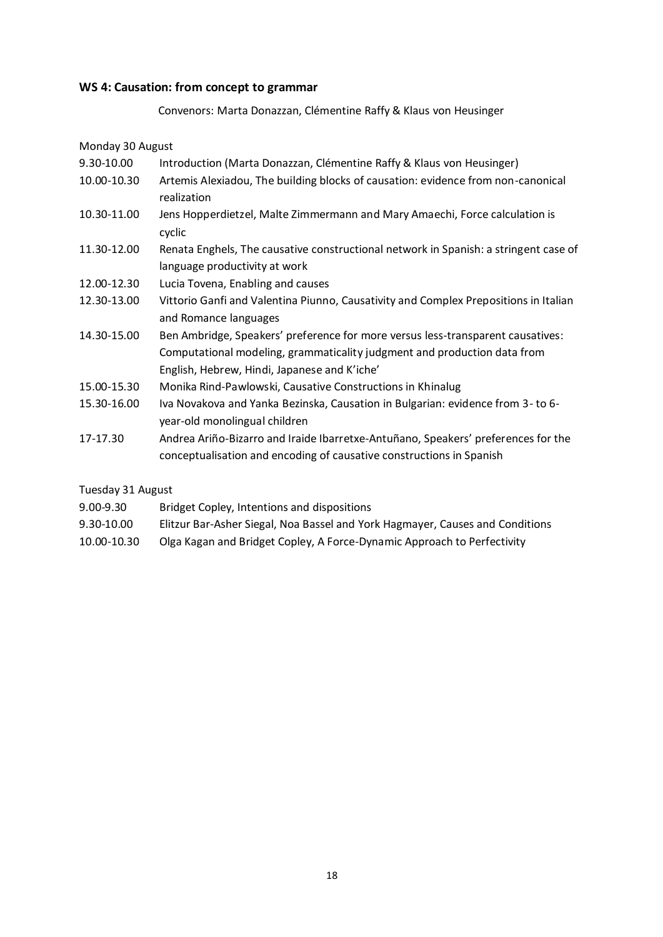#### <span id="page-17-0"></span>**WS 4: Causation: from concept to grammar**

Convenors: Marta Donazzan, Clémentine Raffy & Klaus von Heusinger

Monday 30 August 9.30-10.00 Introduction (Marta Donazzan, Clémentine Raffy & Klaus von Heusinger) 10.00-10.30 Artemis Alexiadou, The building blocks of causation: evidence from non-canonical realization 10.30-11.00 Jens Hopperdietzel, Malte Zimmermann and Mary Amaechi, Force calculation is cyclic 11.30-12.00 Renata Enghels, The causative constructional network in Spanish: a stringent case of language productivity at work 12.00-12.30 Lucia Tovena, Enabling and causes 12.30-13.00 Vittorio Ganfi and Valentina Piunno, Causativity and Complex Prepositions in Italian and Romance languages 14.30-15.00 Ben Ambridge, Speakers' preference for more versus less-transparent causatives: Computational modeling, grammaticality judgment and production data from English, Hebrew, Hindi, Japanese and K'iche' 15.00-15.30 Monika Rind-Pawlowski, Causative Constructions in Khinalug 15.30-16.00 Iva Novakova and Yanka Bezinska, Causation in Bulgarian: evidence from 3- to 6 year-old monolingual children 17-17.30 Andrea Ariño-Bizarro and Iraide Ibarretxe-Antuñano, Speakers' preferences for the conceptualisation and encoding of causative constructions in Spanish

Tuesday 31 August

|  | 9.00-9.30 | Bridget Copley, Intentions and dispositions |
|--|-----------|---------------------------------------------|
|--|-----------|---------------------------------------------|

- 9.30-10.00 Elitzur Bar-Asher Siegal, Noa Bassel and York Hagmayer, Causes and Conditions
- 10.00-10.30 Olga Kagan and Bridget Copley, A Force-Dynamic Approach to Perfectivity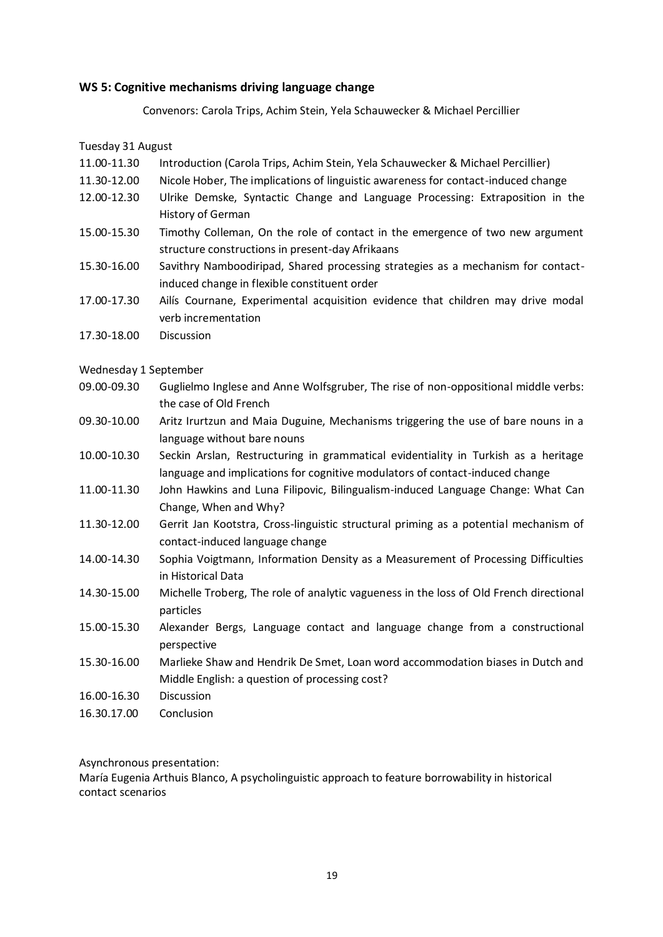### <span id="page-18-0"></span>**WS 5: Cognitive mechanisms driving language change**

Convenors: Carola Trips, Achim Stein, Yela Schauwecker & Michael Percillier

Tuesday 31 August

- 11.00-11.30 Introduction (Carola Trips, Achim Stein, Yela Schauwecker & Michael Percillier)
- 11.30-12.00 Nicole Hober, The implications of linguistic awareness for contact-induced change
- 12.00-12.30 Ulrike Demske, Syntactic Change and Language Processing: Extraposition in the History of German
- 15.00-15.30 Timothy Colleman, On the role of contact in the emergence of two new argument structure constructions in present-day Afrikaans
- 15.30-16.00 Savithry Namboodiripad, Shared processing strategies as a mechanism for contactinduced change in flexible constituent order
- 17.00-17.30 Ailís Cournane, Experimental acquisition evidence that children may drive modal verb incrementation
- 17.30-18.00 Discussion

Wednesday 1 September

- 09.00-09.30 Guglielmo Inglese and Anne Wolfsgruber, The rise of non-oppositional middle verbs: the case of Old French
- 09.30-10.00 Aritz Irurtzun and Maia Duguine, Mechanisms triggering the use of bare nouns in a language without bare nouns
- 10.00-10.30 Seckin Arslan, Restructuring in grammatical evidentiality in Turkish as a heritage language and implications for cognitive modulators of contact-induced change
- 11.00-11.30 John Hawkins and Luna Filipovic, Bilingualism-induced Language Change: What Can Change, When and Why?
- 11.30-12.00 Gerrit Jan Kootstra, Cross-linguistic structural priming as a potential mechanism of contact-induced language change
- 14.00-14.30 Sophia Voigtmann, Information Density as a Measurement of Processing Difficulties in Historical Data
- 14.30-15.00 Michelle Troberg, The role of analytic vagueness in the loss of Old French directional particles
- 15.00-15.30 Alexander Bergs, Language contact and language change from a constructional perspective
- 15.30-16.00 Marlieke Shaw and Hendrik De Smet, Loan word accommodation biases in Dutch and Middle English: a question of processing cost?
- 16.00-16.30 Discussion
- 16.30.17.00 Conclusion

Asynchronous presentation:

María Eugenia Arthuis Blanco, A psycholinguistic approach to feature borrowability in historical contact scenarios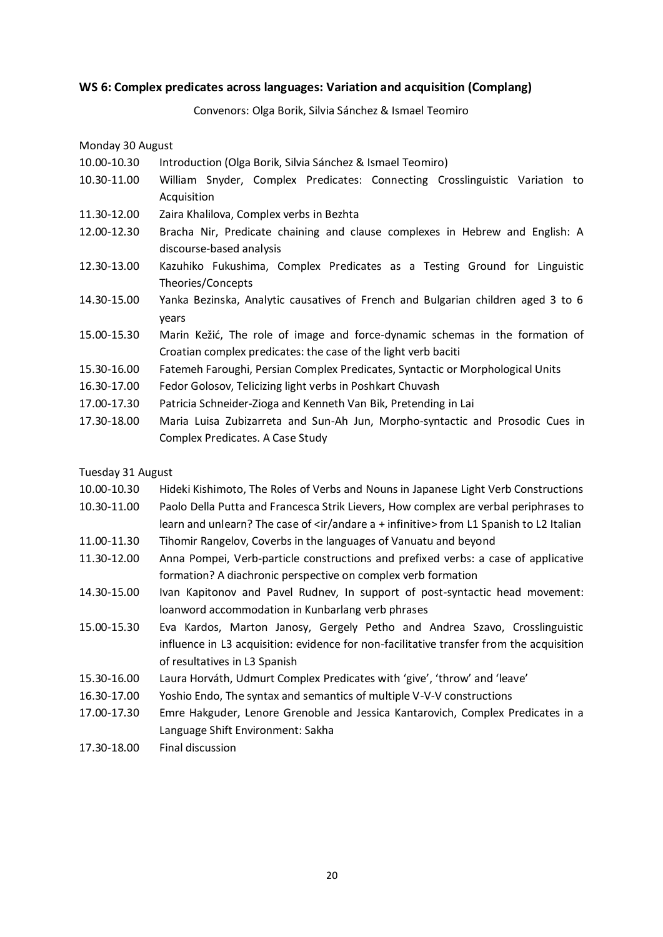### <span id="page-19-0"></span>**WS 6: Complex predicates across languages: Variation and acquisition (Complang)**

Convenors: Olga Borik, Silvia Sánchez & Ismael Teomiro

Monday 30 August

- 10.00-10.30 Introduction (Olga Borik, Silvia Sánchez & Ismael Teomiro)
- 10.30-11.00 William Snyder, Complex Predicates: Connecting Crosslinguistic Variation to Acquisition
- 11.30-12.00 Zaira Khalilova, Complex verbs in Bezhta
- 12.00-12.30 Bracha Nir, Predicate chaining and clause complexes in Hebrew and English: A discourse-based analysis
- 12.30-13.00 Kazuhiko Fukushima, Complex Predicates as a Testing Ground for Linguistic Theories/Concepts
- 14.30-15.00 Yanka Bezinska, Analytic causatives of French and Bulgarian children aged 3 to 6 years
- 15.00-15.30 Marin Kežić, The role of image and force-dynamic schemas in the formation of Croatian complex predicates: the case of the light verb baciti
- 15.30-16.00 Fatemeh Faroughi, Persian Complex Predicates, Syntactic or Morphological Units
- 16.30-17.00 Fedor Golosov, Telicizing light verbs in Poshkart Chuvash
- 17.00-17.30 Patricia Schneider-Zioga and Kenneth Van Bik, Pretending in Lai
- 17.30-18.00 Maria Luisa Zubizarreta and Sun-Ah Jun, Morpho-syntactic and Prosodic Cues in Complex Predicates. A Case Study

#### Tuesday 31 August

- 10.00-10.30 Hideki Kishimoto, The Roles of Verbs and Nouns in Japanese Light Verb Constructions
- 10.30-11.00 Paolo Della Putta and Francesca Strik Lievers, How complex are verbal periphrases to learn and unlearn? The case of <ir/andare a + infinitive> from L1 Spanish to L2 Italian
- 11.00-11.30 Tihomir Rangelov, Coverbs in the languages of Vanuatu and beyond
- 11.30-12.00 Anna Pompei, Verb-particle constructions and prefixed verbs: a case of applicative formation? A diachronic perspective on complex verb formation
- 14.30-15.00 Ivan Kapitonov and Pavel Rudnev, In support of post-syntactic head movement: loanword accommodation in Kunbarlang verb phrases
- 15.00-15.30 Eva Kardos, Marton Janosy, Gergely Petho and Andrea Szavo, Crosslinguistic influence in L3 acquisition: evidence for non-facilitative transfer from the acquisition of resultatives in L3 Spanish
- 15.30-16.00 Laura Horváth, Udmurt Complex Predicates with 'give', 'throw' and 'leave'
- 16.30-17.00 Yoshio Endo, The syntax and semantics of multiple V-V-V constructions
- 17.00-17.30 Emre Hakguder, Lenore Grenoble and Jessica Kantarovich, Complex Predicates in a Language Shift Environment: Sakha
- 17.30-18.00 Final discussion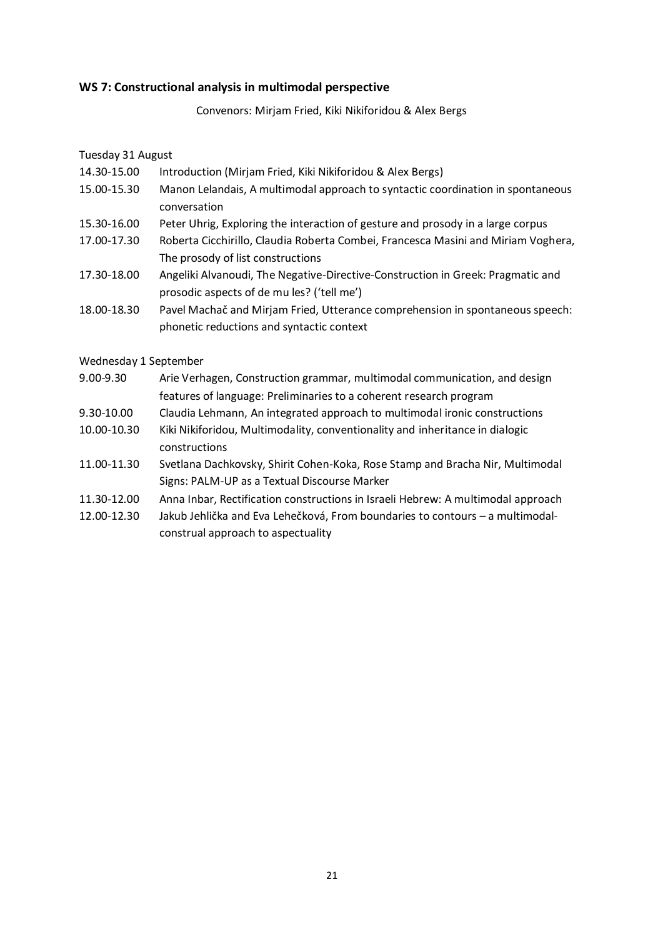### <span id="page-20-0"></span>**WS 7: Constructional analysis in multimodal perspective**

Convenors: Mirjam Fried, Kiki Nikiforidou & Alex Bergs

### Tuesday 31 August

- 14.30-15.00 Introduction (Mirjam Fried, Kiki Nikiforidou & Alex Bergs)
- 15.00-15.30 Manon Lelandais, A multimodal approach to syntactic coordination in spontaneous conversation
- 15.30-16.00 Peter Uhrig, Exploring the interaction of gesture and prosody in a large corpus
- 17.00-17.30 Roberta Cicchirillo, Claudia Roberta Combei, Francesca Masini and Miriam Voghera, The prosody of list constructions
- 17.30-18.00 Angeliki Alvanoudi, The Negative-Directive-Construction in Greek: Pragmatic and prosodic aspects of de mu les? ('tell me')
- 18.00-18.30 Pavel Machač and Mirjam Fried, Utterance comprehension in spontaneous speech: phonetic reductions and syntactic context

### Wednesday 1 September

- 9.00-9.30 Arie Verhagen, Construction grammar, multimodal communication, and design features of language: Preliminaries to a coherent research program
- 9.30-10.00 Claudia Lehmann, An integrated approach to multimodal ironic constructions
- 10.00-10.30 Kiki Nikiforidou, Multimodality, conventionality and inheritance in dialogic constructions
- 11.00-11.30 Svetlana Dachkovsky, Shirit Cohen-Koka, Rose Stamp and Bracha Nir, Multimodal Signs: PALM-UP as a Textual Discourse Marker
- 11.30-12.00 Anna Inbar, Rectification constructions in Israeli Hebrew: A multimodal approach
- 12.00-12.30 Jakub Jehlička and Eva Lehečková, From boundaries to contours a multimodalconstrual approach to aspectuality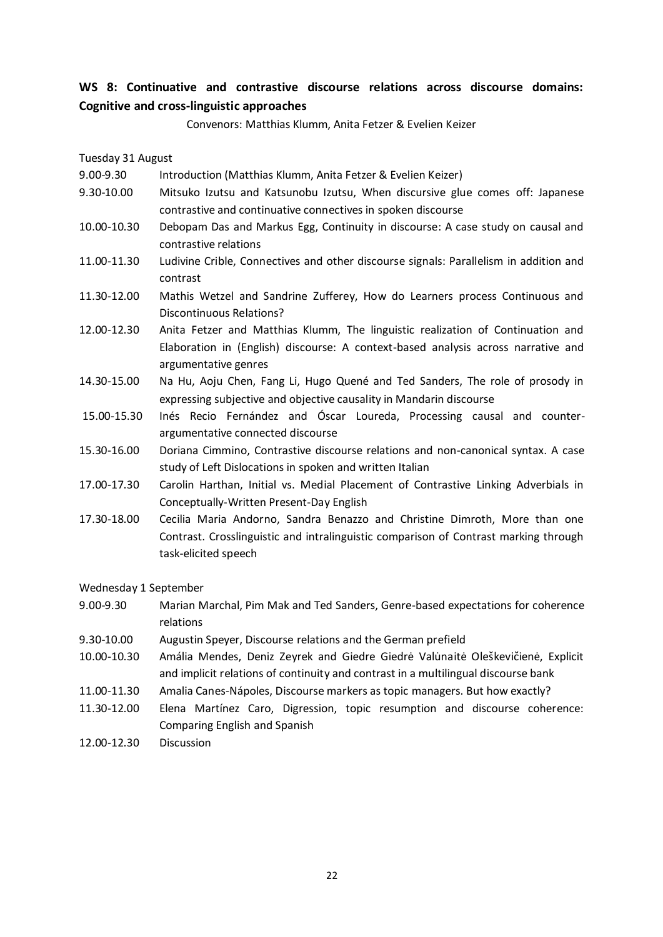### <span id="page-21-0"></span>**WS 8: Continuative and contrastive discourse relations across discourse domains: Cognitive and cross-linguistic approaches**

Convenors: Matthias Klumm, Anita Fetzer & Evelien Keizer

Tuesday 31 August

- 9.00-9.30 Introduction (Matthias Klumm, Anita Fetzer & Evelien Keizer)
- 9.30-10.00 Mitsuko Izutsu and Katsunobu Izutsu, When discursive glue comes off: Japanese contrastive and continuative connectives in spoken discourse
- 10.00-10.30 Debopam Das and Markus Egg, Continuity in discourse: A case study on causal and contrastive relations
- 11.00-11.30 Ludivine Crible, Connectives and other discourse signals: Parallelism in addition and contrast
- 11.30-12.00 Mathis Wetzel and Sandrine Zufferey, How do Learners process Continuous and Discontinuous Relations?
- 12.00-12.30 Anita Fetzer and Matthias Klumm, The linguistic realization of Continuation and Elaboration in (English) discourse: A context-based analysis across narrative and argumentative genres
- 14.30-15.00 Na Hu, Aoju Chen, Fang Li, Hugo Quené and Ted Sanders, The role of prosody in expressing subjective and objective causality in Mandarin discourse
- 15.00-15.30 Inés Recio Fernández and Óscar Loureda, Processing causal and counterargumentative connected discourse
- 15.30-16.00 Doriana Cimmino, Contrastive discourse relations and non-canonical syntax. A case study of Left Dislocations in spoken and written Italian
- 17.00-17.30 Carolin Harthan, Initial vs. Medial Placement of Contrastive Linking Adverbials in Conceptually-Written Present-Day English
- 17.30-18.00 Cecilia Maria Andorno, Sandra Benazzo and Christine Dimroth, More than one Contrast. Crosslinguistic and intralinguistic comparison of Contrast marking through task-elicited speech

### Wednesday 1 September

- 9.00-9.30 Marian Marchal, Pim Mak and Ted Sanders, Genre-based expectations for coherence relations
- 9.30-10.00 Augustin Speyer, Discourse relations and the German prefield
- 10.00-10.30 Amália Mendes, Deniz Zeyrek and Giedre Giedrė Valu̇naitė Oles̆kevicienė, Explicit ̆ and implicit relations of continuity and contrast in a multilingual discourse bank
- 11.00-11.30 Amalia Canes-Nápoles, Discourse markers as topic managers. But how exactly?
- 11.30-12.00 Elena Martínez Caro, Digression, topic resumption and discourse coherence: Comparing English and Spanish
- 12.00-12.30 Discussion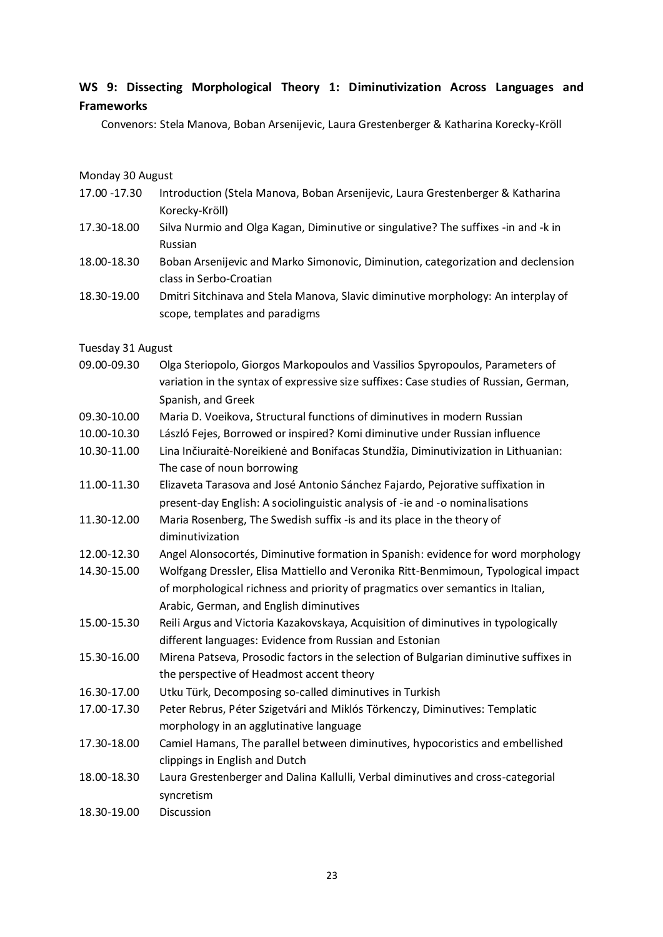### <span id="page-22-0"></span>**WS 9: Dissecting Morphological Theory 1: Diminutivization Across Languages and Frameworks**

Convenors: Stela Manova, Boban Arsenijevic, Laura Grestenberger & Katharina Korecky-Kröll

#### Monday 30 August

- 17.00 -17.30 Introduction (Stela Manova, Boban Arsenijevic, Laura Grestenberger & Katharina Korecky-Kröll)
- 17.30-18.00 Silva Nurmio and Olga Kagan, Diminutive or singulative? The suffixes -in and -k in Russian
- 18.00-18.30 Boban Arsenijevic and Marko Simonovic, Diminution, categorization and declension class in Serbo-Croatian
- 18.30-19.00 Dmitri Sitchinava and Stela Manova, Slavic diminutive morphology: An interplay of scope, templates and paradigms

#### Tuesday 31 August

- 09.00-09.30 Olga Steriopolo, Giorgos Markopoulos and Vassilios Spyropoulos, Parameters of variation in the syntax of expressive size suffixes: Case studies of Russian, German, Spanish, and Greek
- 09.30-10.00 Maria D. Voeikova, Structural functions of diminutives in modern Russian
- 10.00-10.30 László Fejes, Borrowed or inspired? Komi diminutive under Russian influence
- 10.30-11.00 Lina Inčiuraitė-Noreikienė and Bonifacas Stundžia, Diminutivization in Lithuanian: The case of noun borrowing
- 11.00-11.30 Elizaveta Tarasova and José Antonio Sánchez Fajardo, Pejorative suffixation in present-day English: A sociolinguistic analysis of -ie and -o nominalisations
- 11.30-12.00 Maria Rosenberg, The Swedish suffix -is and its place in the theory of diminutivization
- 12.00-12.30 Angel Alonsocortés, Diminutive formation in Spanish: evidence for word morphology
- 14.30-15.00 Wolfgang Dressler, Elisa Mattiello and Veronika Ritt-Benmimoun, Typological impact of morphological richness and priority of pragmatics over semantics in Italian, Arabic, German, and English diminutives
- 15.00-15.30 Reili Argus and Victoria Kazakovskaya, Acquisition of diminutives in typologically different languages: Evidence from Russian and Estonian
- 15.30-16.00 Mirena Patseva, Prosodic factors in the selection of Bulgarian diminutive suffixes in the perspective of Headmost accent theory
- 16.30-17.00 Utku Türk, Decomposing so-called diminutives in Turkish
- 17.00-17.30 Peter Rebrus, Péter Szigetvári and Miklós Törkenczy, Diminutives: Templatic morphology in an agglutinative language
- 17.30-18.00 Camiel Hamans, The parallel between diminutives, hypocoristics and embellished clippings in English and Dutch
- 18.00-18.30 Laura Grestenberger and Dalina Kallulli, Verbal diminutives and cross-categorial syncretism
- 18.30-19.00 Discussion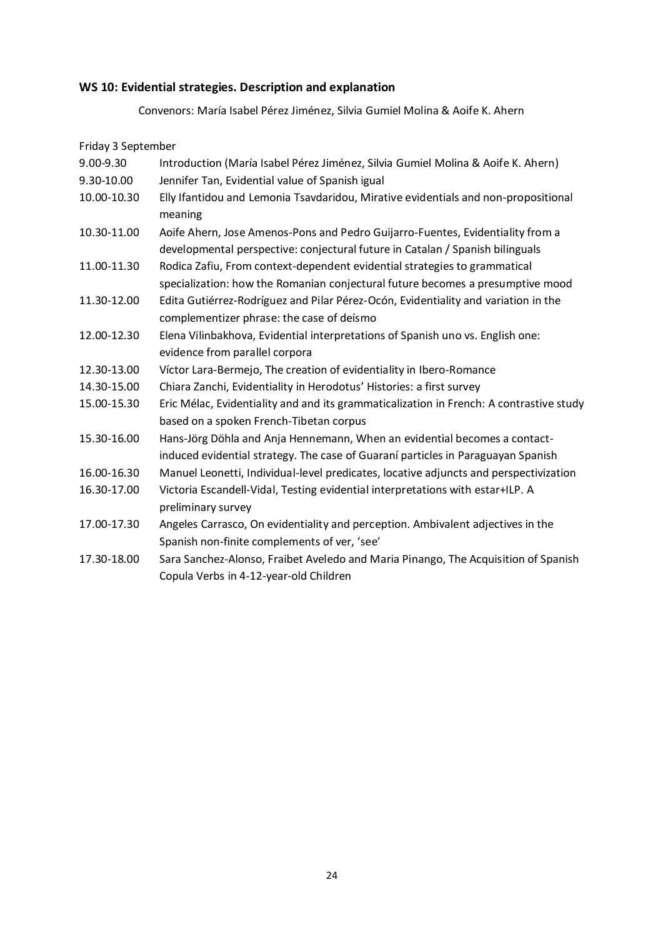### <span id="page-23-0"></span>**WS 10: Evidential strategies. Description and explanation**

Convenors: María Isabel Pérez Jiménez, Silvia Gumiel Molina & Aoife K. Ahern

| Friday 3 September |                                                                                         |
|--------------------|-----------------------------------------------------------------------------------------|
| 9.00-9.30          | Introduction (María Isabel Pérez Jiménez, Silvia Gumiel Molina & Aoife K. Ahern)        |
| 9.30-10.00         | Jennifer Tan, Evidential value of Spanish igual                                         |
| 10.00-10.30        | Elly Ifantidou and Lemonia Tsavdaridou, Mirative evidentials and non-propositional      |
|                    | meaning                                                                                 |
| 10.30-11.00        | Aoife Ahern, Jose Amenos-Pons and Pedro Guijarro-Fuentes, Evidentiality from a          |
|                    | developmental perspective: conjectural future in Catalan / Spanish bilinguals           |
| 11.00-11.30        | Rodica Zafiu, From context-dependent evidential strategies to grammatical               |
|                    | specialization: how the Romanian conjectural future becomes a presumptive mood          |
| 11.30-12.00        | Edita Gutiérrez-Rodríguez and Pilar Pérez-Ocón, Evidentiality and variation in the      |
|                    | complementizer phrase: the case of deísmo                                               |
| 12.00-12.30        | Elena Vilinbakhova, Evidential interpretations of Spanish uno vs. English one:          |
|                    | evidence from parallel corpora                                                          |
| 12.30-13.00        | Víctor Lara-Bermejo, The creation of evidentiality in Ibero-Romance                     |
| 14.30-15.00        | Chiara Zanchi, Evidentiality in Herodotus' Histories: a first survey                    |
| 15.00-15.30        | Eric Mélac, Evidentiality and and its grammaticalization in French: A contrastive study |
|                    | based on a spoken French-Tibetan corpus                                                 |
| 15.30-16.00        | Hans-Jörg Döhla and Anja Hennemann, When an evidential becomes a contact-               |
|                    | induced evidential strategy. The case of Guaraní particles in Paraguayan Spanish        |
| 16.00-16.30        | Manuel Leonetti, Individual-level predicates, locative adjuncts and perspectivization   |
| 16.30-17.00        | Victoria Escandell-Vidal, Testing evidential interpretations with estar+ILP. A          |
|                    | preliminary survey                                                                      |
| 17.00-17.30        | Angeles Carrasco, On evidentiality and perception. Ambivalent adjectives in the         |
|                    | Spanish non-finite complements of ver, 'see'                                            |
| 17.30-18.00        | Sara Sanchez-Alonso, Fraibet Aveledo and Maria Pinango, The Acquisition of Spanish      |
|                    | Copula Verbs in 4-12-year-old Children                                                  |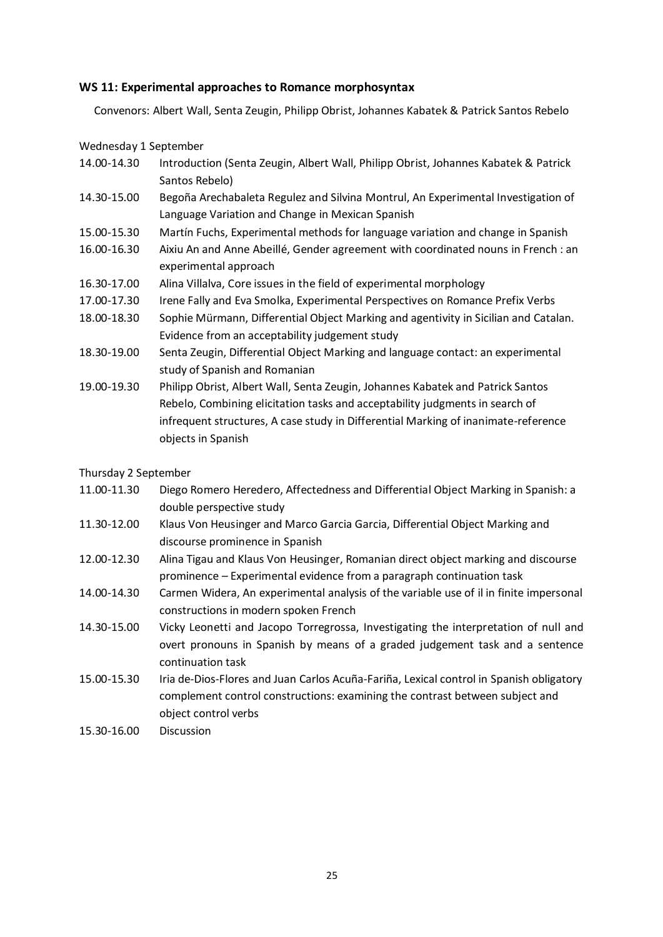### <span id="page-24-0"></span>**WS 11: Experimental approaches to Romance morphosyntax**

Convenors: Albert Wall, Senta Zeugin, Philipp Obrist, Johannes Kabatek & Patrick Santos Rebelo

Wednesday 1 September

- 14.00-14.30 Introduction (Senta Zeugin, Albert Wall, Philipp Obrist, Johannes Kabatek & Patrick Santos Rebelo)
- 14.30-15.00 Begoña Arechabaleta Regulez and Silvina Montrul, An Experimental Investigation of Language Variation and Change in Mexican Spanish
- 15.00-15.30 Martín Fuchs, Experimental methods for language variation and change in Spanish
- 16.00-16.30 Aixiu An and Anne Abeillé, Gender agreement with coordinated nouns in French : an experimental approach
- 16.30-17.00 Alina Villalva, Core issues in the field of experimental morphology
- 17.00-17.30 Irene Fally and Eva Smolka, Experimental Perspectives on Romance Prefix Verbs
- 18.00-18.30 Sophie Mürmann, Differential Object Marking and agentivity in Sicilian and Catalan. Evidence from an acceptability judgement study
- 18.30-19.00 Senta Zeugin, Differential Object Marking and language contact: an experimental study of Spanish and Romanian
- 19.00-19.30 Philipp Obrist, Albert Wall, Senta Zeugin, Johannes Kabatek and Patrick Santos Rebelo, Combining elicitation tasks and acceptability judgments in search of infrequent structures, A case study in Differential Marking of inanimate-reference objects in Spanish

Thursday 2 September

- 11.00-11.30 Diego Romero Heredero, Affectedness and Differential Object Marking in Spanish: a double perspective study
- 11.30-12.00 Klaus Von Heusinger and Marco Garcia Garcia, Differential Object Marking and discourse prominence in Spanish
- 12.00-12.30 Alina Tigau and Klaus Von Heusinger, Romanian direct object marking and discourse prominence – Experimental evidence from a paragraph continuation task
- 14.00-14.30 Carmen Widera, An experimental analysis of the variable use of il in finite impersonal constructions in modern spoken French
- 14.30-15.00 Vicky Leonetti and Jacopo Torregrossa, Investigating the interpretation of null and overt pronouns in Spanish by means of a graded judgement task and a sentence continuation task
- 15.00-15.30 Iria de-Dios-Flores and Juan Carlos Acuña-Fariña, Lexical control in Spanish obligatory complement control constructions: examining the contrast between subject and object control verbs
- 15.30-16.00 Discussion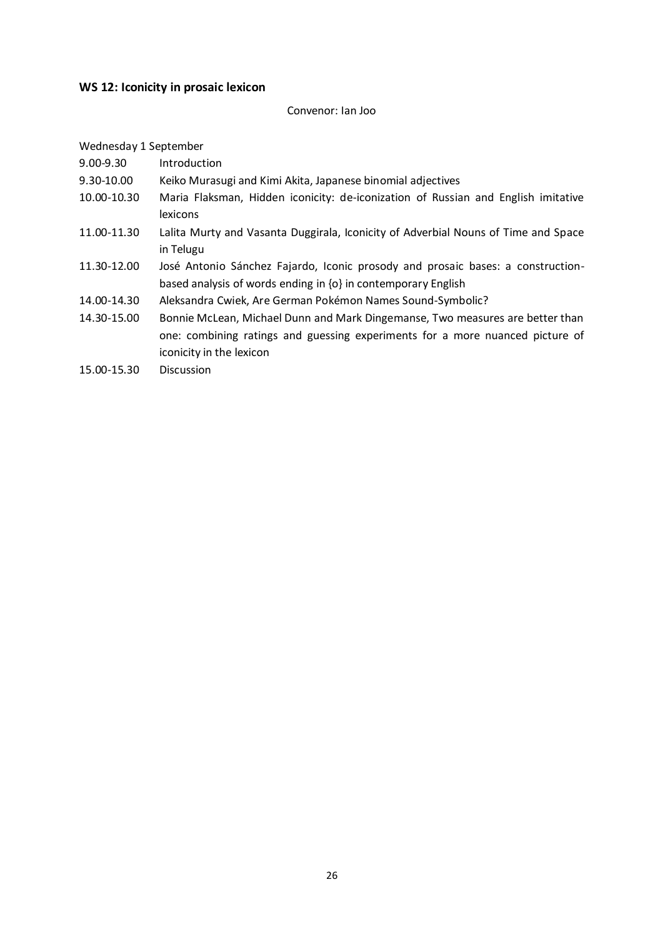### <span id="page-25-0"></span>**WS 12: Iconicity in prosaic lexicon**

#### Convenor: Ian Joo

#### Wednesday 1 September

- 9.00-9.30 Introduction
- 9.30-10.00 Keiko Murasugi and Kimi Akita, Japanese binomial adjectives
- 10.00-10.30 Maria Flaksman, Hidden iconicity: de-iconization of Russian and English imitative lexicons
- 11.00-11.30 Lalita Murty and Vasanta Duggirala, Iconicity of Adverbial Nouns of Time and Space in Telugu
- 11.30-12.00 José Antonio Sánchez Fajardo, Iconic prosody and prosaic bases: a constructionbased analysis of words ending in {o} in contemporary English
- 14.00-14.30 Aleksandra Cwiek, Are German Pokémon Names Sound-Symbolic?
- 14.30-15.00 Bonnie McLean, Michael Dunn and Mark Dingemanse, Two measures are better than one: combining ratings and guessing experiments for a more nuanced picture of iconicity in the lexicon
- 15.00-15.30 Discussion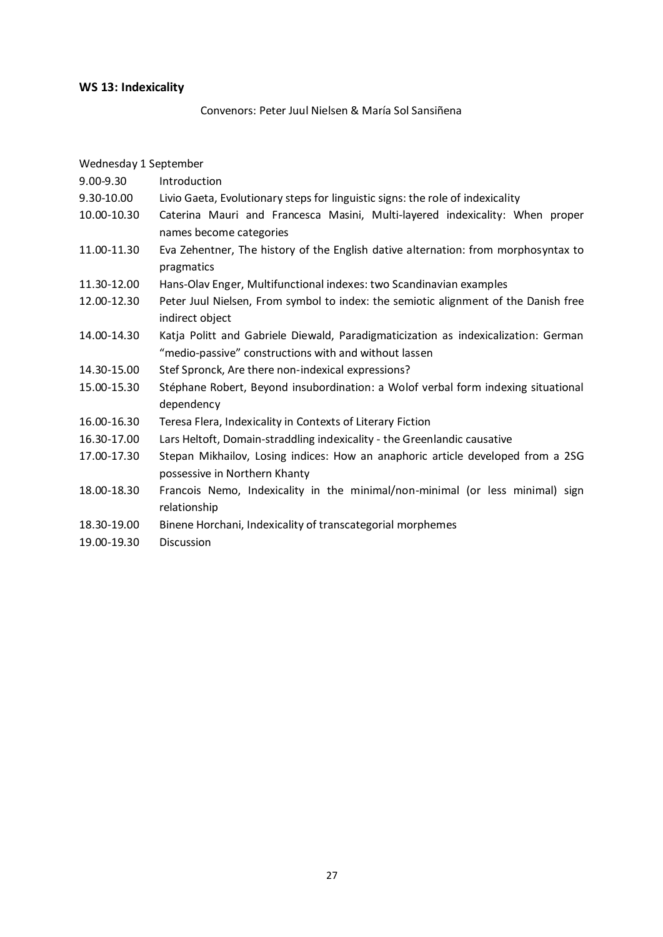### <span id="page-26-0"></span>**WS 13: Indexicality**

Convenors: Peter Juul Nielsen & María Sol Sansiñena

Wednesday 1 September 9.00-9.30 Introduction 9.30-10.00 Livio Gaeta, Evolutionary steps for linguistic signs: the role of indexicality 10.00-10.30 Caterina Mauri and Francesca Masini, Multi-layered indexicality: When proper names become categories 11.00-11.30 Eva Zehentner, The history of the English dative alternation: from morphosyntax to pragmatics 11.30-12.00 Hans-Olav Enger, Multifunctional indexes: two Scandinavian examples 12.00-12.30 Peter Juul Nielsen, From symbol to index: the semiotic alignment of the Danish free indirect object 14.00-14.30 Katja Politt and Gabriele Diewald, Paradigmaticization as indexicalization: German "medio-passive" constructions with and without lassen 14.30-15.00 Stef Spronck, Are there non-indexical expressions? 15.00-15.30 Stéphane Robert, Beyond insubordination: a Wolof verbal form indexing situational dependency 16.00-16.30 Teresa Flera, Indexicality in Contexts of Literary Fiction 16.30-17.00 Lars Heltoft, Domain-straddling indexicality - the Greenlandic causative 17.00-17.30 Stepan Mikhailov, Losing indices: How an anaphoric article developed from a 2SG possessive in Northern Khanty 18.00-18.30 Francois Nemo, Indexicality in the minimal/non-minimal (or less minimal) sign relationship 18.30-19.00 Binene Horchani, Indexicality of transcategorial morphemes 19.00-19.30 Discussion

27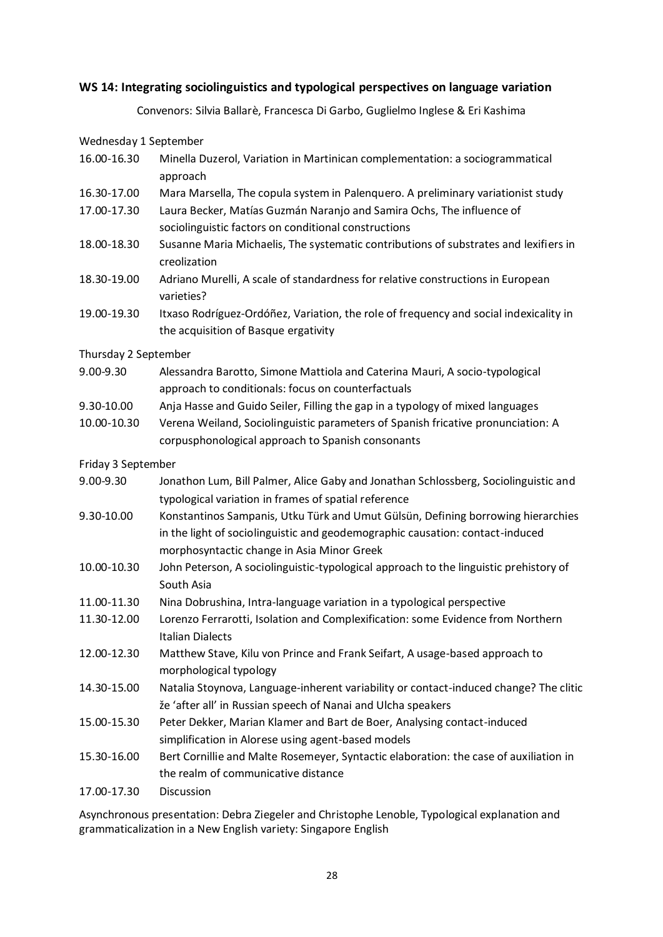### <span id="page-27-0"></span>**WS 14: Integrating sociolinguistics and typological perspectives on language variation**

Convenors: Silvia Ballarè, Francesca Di Garbo, Guglielmo Inglese & Eri Kashima

Wednesday 1 September

- 16.00-16.30 Minella Duzerol, Variation in Martinican complementation: a sociogrammatical approach
- 16.30-17.00 Mara Marsella, The copula system in Palenquero. A preliminary variationist study
- 17.00-17.30 Laura Becker, Matías Guzmán Naranjo and Samira Ochs, The influence of sociolinguistic factors on conditional constructions
- 18.00-18.30 Susanne Maria Michaelis, The systematic contributions of substrates and lexifiers in creolization
- 18.30-19.00 Adriano Murelli, A scale of standardness for relative constructions in European varieties?
- 19.00-19.30 Itxaso Rodríguez-Ordóñez, Variation, the role of frequency and social indexicality in the acquisition of Basque ergativity

Thursday 2 September

- 9.00-9.30 Alessandra Barotto, Simone Mattiola and Caterina Mauri, A socio-typological approach to conditionals: focus on counterfactuals
- 9.30-10.00 Anja Hasse and Guido Seiler, Filling the gap in a typology of mixed languages
- 10.00-10.30 Verena Weiland, Sociolinguistic parameters of Spanish fricative pronunciation: A corpusphonological approach to Spanish consonants

Friday 3 September

- 9.00-9.30 Jonathon Lum, Bill Palmer, Alice Gaby and Jonathan Schlossberg, Sociolinguistic and typological variation in frames of spatial reference
- 9.30-10.00 Konstantinos Sampanis, Utku Türk and Umut Gülsün, Defining borrowing hierarchies in the light of sociolinguistic and geodemographic causation: contact-induced morphosyntactic change in Asia Minor Greek
- 10.00-10.30 John Peterson, A sociolinguistic-typological approach to the linguistic prehistory of South Asia
- 11.00-11.30 Nina Dobrushina, Intra-language variation in a typological perspective
- 11.30-12.00 Lorenzo Ferrarotti, Isolation and Complexification: some Evidence from Northern Italian Dialects
- 12.00-12.30 Matthew Stave, Kilu von Prince and Frank Seifart, A usage-based approach to morphological typology
- 14.30-15.00 Natalia Stoynova, Language-inherent variability or contact-induced change? The clitic že 'after all' in Russian speech of Nanai and Ulcha speakers
- 15.00-15.30 Peter Dekker, Marian Klamer and Bart de Boer, Analysing contact-induced simplification in Alorese using agent-based models
- 15.30-16.00 Bert Cornillie and Malte Rosemeyer, Syntactic elaboration: the case of auxiliation in the realm of communicative distance

17.00-17.30 Discussion

Asynchronous presentation: Debra Ziegeler and Christophe Lenoble, Typological explanation and grammaticalization in a New English variety: Singapore English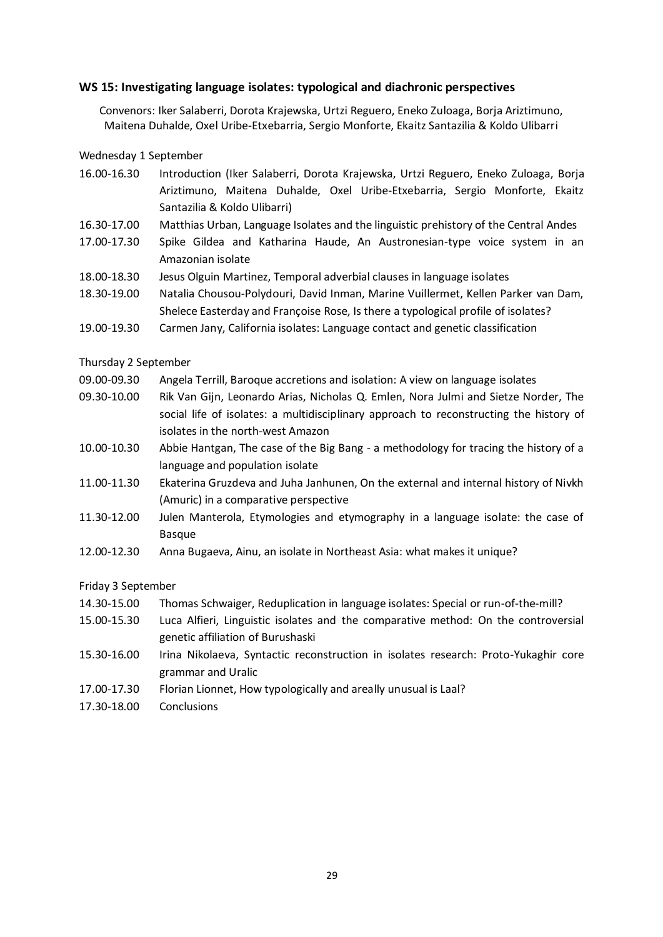### <span id="page-28-0"></span>**WS 15: Investigating language isolates: typological and diachronic perspectives**

Convenors: Iker Salaberri, Dorota Krajewska, Urtzi Reguero, Eneko Zuloaga, Borja Ariztimuno, Maitena Duhalde, Oxel Uribe-Etxebarria, Sergio Monforte, Ekaitz Santazilia & Koldo Ulibarri

#### Wednesday 1 September

| 16.00-16.30 |                              |  |  |  | Introduction (Iker Salaberri, Dorota Krajewska, Urtzi Reguero, Eneko Zuloaga, Borja |  |  |  |
|-------------|------------------------------|--|--|--|-------------------------------------------------------------------------------------|--|--|--|
|             |                              |  |  |  | Ariztimuno, Maitena Duhalde, Oxel Uribe-Etxebarria, Sergio Monforte, Ekaitz         |  |  |  |
|             | Santazilia & Koldo Ulibarri) |  |  |  |                                                                                     |  |  |  |

- 16.30-17.00 Matthias Urban, Language Isolates and the linguistic prehistory of the Central Andes
- 17.00-17.30 Spike Gildea and Katharina Haude, An Austronesian-type voice system in an Amazonian isolate
- 18.00-18.30 Jesus Olguin Martinez, Temporal adverbial clauses in language isolates
- 18.30-19.00 Natalia Chousou-Polydouri, David Inman, Marine Vuillermet, Kellen Parker van Dam, Shelece Easterday and Françoise Rose, Is there a typological profile of isolates?
- 19.00-19.30 Carmen Jany, California isolates: Language contact and genetic classification

#### Thursday 2 September

- 09.00-09.30 Angela Terrill, Baroque accretions and isolation: A view on language isolates
- 09.30-10.00 Rik Van Gijn, Leonardo Arias, Nicholas Q. Emlen, Nora Julmi and Sietze Norder, The social life of isolates: a multidisciplinary approach to reconstructing the history of isolates in the north-west Amazon
- 10.00-10.30 Abbie Hantgan, The case of the Big Bang a methodology for tracing the history of a language and population isolate
- 11.00-11.30 Ekaterina Gruzdeva and Juha Janhunen, On the external and internal history of Nivkh (Amuric) in a comparative perspective
- 11.30-12.00 Julen Manterola, Etymologies and etymography in a language isolate: the case of Basque
- 12.00-12.30 Anna Bugaeva, Ainu, an isolate in Northeast Asia: what makes it unique?

#### Friday 3 September

- 14.30-15.00 Thomas Schwaiger, Reduplication in language isolates: Special or run-of-the-mill?
- 15.00-15.30 Luca Alfieri, Linguistic isolates and the comparative method: On the controversial genetic affiliation of Burushaski
- 15.30-16.00 Irina Nikolaeva, Syntactic reconstruction in isolates research: Proto-Yukaghir core grammar and Uralic
- 17.00-17.30 Florian Lionnet, How typologically and areally unusual is Laal?
- 17.30-18.00 Conclusions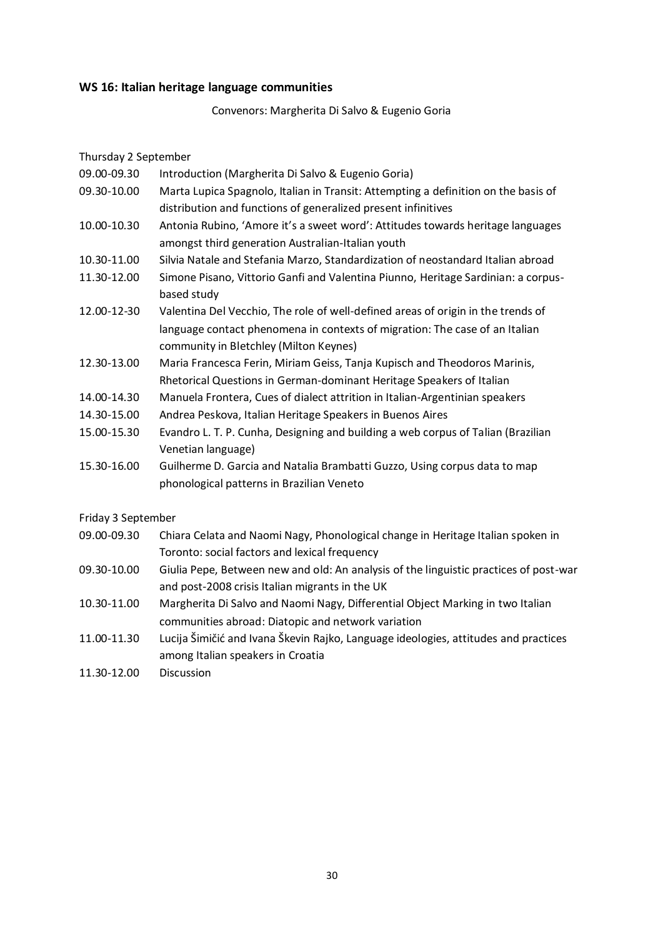### <span id="page-29-0"></span>**WS 16: Italian heritage language communities**

Convenors: Margherita Di Salvo & Eugenio Goria

Thursday 2 September

- 09.00-09.30 Introduction (Margherita Di Salvo & Eugenio Goria)
- 09.30-10.00 Marta Lupica Spagnolo, Italian in Transit: Attempting a definition on the basis of distribution and functions of generalized present infinitives
- 10.00-10.30 Antonia Rubino, 'Amore it's a sweet word': Attitudes towards heritage languages amongst third generation Australian-Italian youth
- 10.30-11.00 Silvia Natale and Stefania Marzo, Standardization of neostandard Italian abroad
- 11.30-12.00 Simone Pisano, Vittorio Ganfi and Valentina Piunno, Heritage Sardinian: a corpusbased study
- 12.00-12-30 Valentina Del Vecchio, The role of well-defined areas of origin in the trends of language contact phenomena in contexts of migration: The case of an Italian community in Bletchley (Milton Keynes)
- 12.30-13.00 Maria Francesca Ferin, Miriam Geiss, Tanja Kupisch and Theodoros Marinis, Rhetorical Questions in German-dominant Heritage Speakers of Italian
- 14.00-14.30 Manuela Frontera, Cues of dialect attrition in Italian-Argentinian speakers
- 14.30-15.00 Andrea Peskova, Italian Heritage Speakers in Buenos Aires
- 15.00-15.30 Evandro L. T. P. Cunha, Designing and building a web corpus of Talian (Brazilian Venetian language)
- 15.30-16.00 Guilherme D. Garcia and Natalia Brambatti Guzzo, Using corpus data to map phonological patterns in Brazilian Veneto

Friday 3 September

- 09.00-09.30 Chiara Celata and Naomi Nagy, Phonological change in Heritage Italian spoken in Toronto: social factors and lexical frequency
- 09.30-10.00 Giulia Pepe, Between new and old: An analysis of the linguistic practices of post-war and post-2008 crisis Italian migrants in the UK
- 10.30-11.00 Margherita Di Salvo and Naomi Nagy, Differential Object Marking in two Italian communities abroad: Diatopic and network variation
- 11.00-11.30 Lucija Šimičić and Ivana Škevin Rajko, Language ideologies, attitudes and practices among Italian speakers in Croatia
- 11.30-12.00 Discussion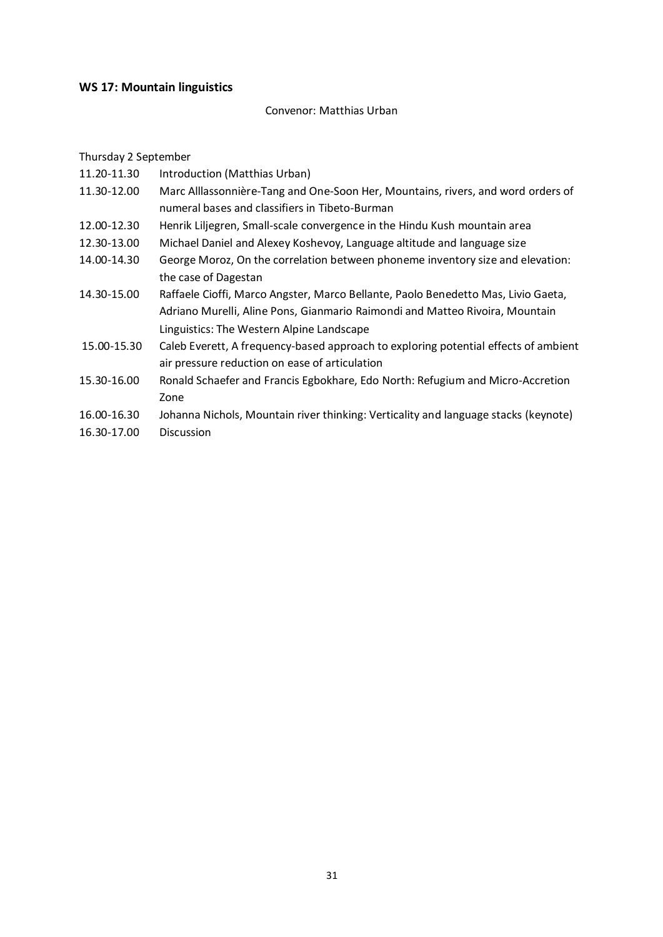### <span id="page-30-0"></span>**WS 17: Mountain linguistics**

#### Convenor: Matthias Urban

Thursday 2 September

- 11.20-11.30 Introduction (Matthias Urban)
- 11.30-12.00 Marc Alllassonnière-Tang and One-Soon Her, Mountains, rivers, and word orders of numeral bases and classifiers in Tibeto-Burman
- 12.00-12.30 Henrik Liljegren, Small-scale convergence in the Hindu Kush mountain area
- 12.30-13.00 Michael Daniel and Alexey Koshevoy, Language altitude and language size
- 14.00-14.30 George Moroz, On the correlation between phoneme inventory size and elevation: the case of Dagestan
- 14.30-15.00 Raffaele Cioffi, Marco Angster, Marco Bellante, Paolo Benedetto Mas, Livio Gaeta, Adriano Murelli, Aline Pons, Gianmario Raimondi and Matteo Rivoira, Mountain Linguistics: The Western Alpine Landscape
- 15.00-15.30 Caleb Everett, A frequency-based approach to exploring potential effects of ambient air pressure reduction on ease of articulation
- 15.30-16.00 Ronald Schaefer and Francis Egbokhare, Edo North: Refugium and Micro-Accretion Zone
- 16.00-16.30 Johanna Nichols, Mountain river thinking: Verticality and language stacks (keynote)
- 16.30-17.00 Discussion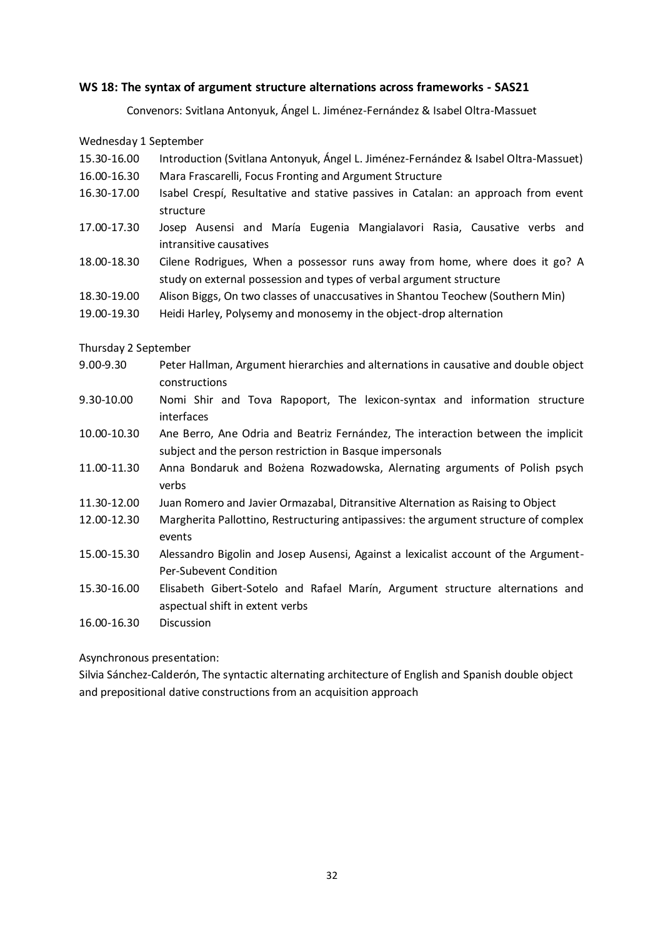### <span id="page-31-0"></span>**WS 18: The syntax of argument structure alternations across frameworks - SAS21**

Convenors: Svitlana Antonyuk, Ángel L. Jiménez-Fernández & Isabel Oltra-Massuet

Wednesday 1 September

- 15.30-16.00 Introduction (Svitlana Antonyuk, Ángel L. Jiménez-Fernández & Isabel Oltra-Massuet)
- 16.00-16.30 Mara Frascarelli, Focus Fronting and Argument Structure
- 16.30-17.00 Isabel Crespí, Resultative and stative passives in Catalan: an approach from event structure
- 17.00-17.30 Josep Ausensi and María Eugenia Mangialavori Rasia, Causative verbs and intransitive causatives
- 18.00-18.30 Cilene Rodrigues, When a possessor runs away from home, where does it go? A study on external possession and types of verbal argument structure
- 18.30-19.00 Alison Biggs, On two classes of unaccusatives in Shantou Teochew (Southern Min)
- 19.00-19.30 Heidi Harley, Polysemy and monosemy in the object-drop alternation

Thursday 2 September

- 9.00-9.30 Peter Hallman, Argument hierarchies and alternations in causative and double object constructions
- 9.30-10.00 Nomi Shir and Tova Rapoport, The lexicon-syntax and information structure interfaces
- 10.00-10.30 Ane Berro, Ane Odria and Beatriz Fernández, The interaction between the implicit subject and the person restriction in Basque impersonals
- 11.00-11.30 Anna Bondaruk and Bożena Rozwadowska, Alernating arguments of Polish psych verbs
- 11.30-12.00 Juan Romero and Javier Ormazabal, Ditransitive Alternation as Raising to Object
- 12.00-12.30 Margherita Pallottino, Restructuring antipassives: the argument structure of complex events
- 15.00-15.30 Alessandro Bigolin and Josep Ausensi, Against a lexicalist account of the Argument-Per-Subevent Condition
- 15.30-16.00 Elisabeth Gibert-Sotelo and Rafael Marín, Argument structure alternations and aspectual shift in extent verbs

16.00-16.30 Discussion

Asynchronous presentation:

Silvia Sánchez-Calderón, The syntactic alternating architecture of English and Spanish double object and prepositional dative constructions from an acquisition approach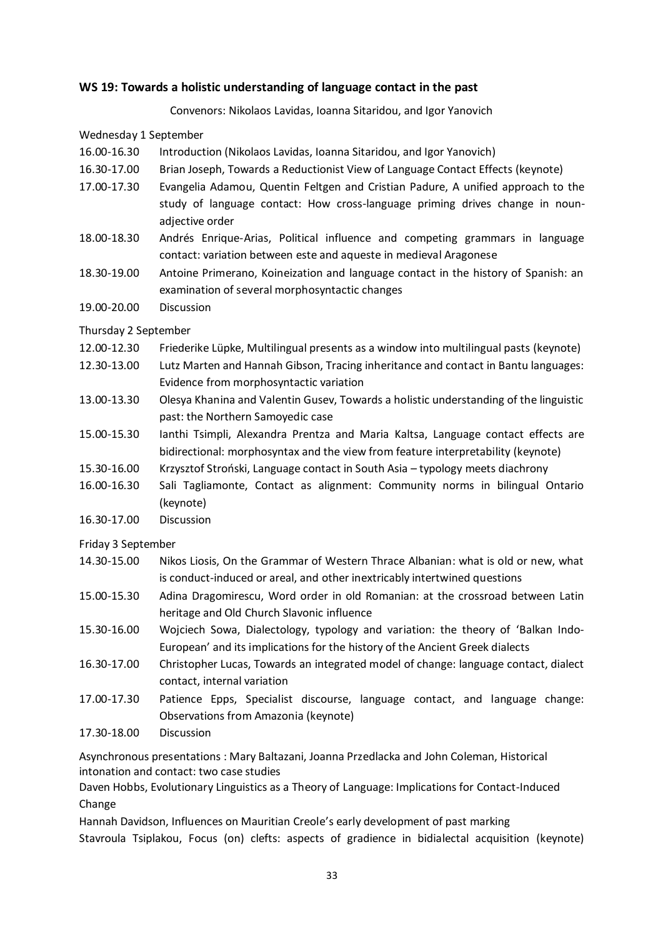### <span id="page-32-0"></span>**WS 19: Towards a holistic understanding of language contact in the past**

Convenors: Nikolaos Lavidas, Ioanna Sitaridou, and Igor Yanovich

Wednesday 1 September

- 16.00-16.30 Introduction (Nikolaos Lavidas, Ioanna Sitaridou, and Igor Yanovich)
- 16.30-17.00 Brian Joseph, Towards a Reductionist View of Language Contact Effects (keynote)
- 17.00-17.30 Evangelia Adamou, Quentin Feltgen and Cristian Padure, A unified approach to the study of language contact: How cross-language priming drives change in nounadjective order
- 18.00-18.30 Andrés Enrique-Arias, Political influence and competing grammars in language contact: variation between este and aqueste in medieval Aragonese
- 18.30-19.00 Antoine Primerano, Koineization and language contact in the history of Spanish: an examination of several morphosyntactic changes
- 19.00-20.00 Discussion

### Thursday 2 September

- 12.00-12.30 Friederike Lüpke, Multilingual presents as a window into multilingual pasts (keynote)
- 12.30-13.00 Lutz Marten and Hannah Gibson, Tracing inheritance and contact in Bantu languages: Evidence from morphosyntactic variation
- 13.00-13.30 Olesya Khanina and Valentin Gusev, Towards a holistic understanding of the linguistic past: the Northern Samoyedic case
- 15.00-15.30 Ianthi Tsimpli, Alexandra Prentza and Maria Kaltsa, Language contact effects are bidirectional: morphosyntax and the view from feature interpretability (keynote)
- 15.30-16.00 Krzysztof Stroński, Language contact in South Asia typology meets diachrony
- 16.00-16.30 Sali Tagliamonte, Contact as alignment: Community norms in bilingual Ontario (keynote)
- 16.30-17.00 Discussion

Friday 3 September

- 14.30-15.00 Nikos Liosis, On the Grammar of Western Thrace Albanian: what is old or new, what is conduct-induced or areal, and other inextricably intertwined questions
- 15.00-15.30 Adina Dragomirescu, Word order in old Romanian: at the crossroad between Latin heritage and Old Church Slavonic influence
- 15.30-16.00 Wojciech Sowa, Dialectology, typology and variation: the theory of 'Balkan Indo-European' and its implications for the history of the Ancient Greek dialects
- 16.30-17.00 Christopher Lucas, Towards an integrated model of change: language contact, dialect contact, internal variation
- 17.00-17.30 Patience Epps, Specialist discourse, language contact, and language change: Observations from Amazonia (keynote)
- 17.30-18.00 Discussion

Asynchronous presentations : Mary Baltazani, Joanna Przedlacka and John Coleman, Historical intonation and contact: two case studies

Daven Hobbs, Evolutionary Linguistics as a Theory of Language: Implications for Contact-Induced Change

Hannah Davidson, Influences on Mauritian Creole's early development of past marking Stavroula Tsiplakou, Focus (on) clefts: aspects of gradience in bidialectal acquisition (keynote)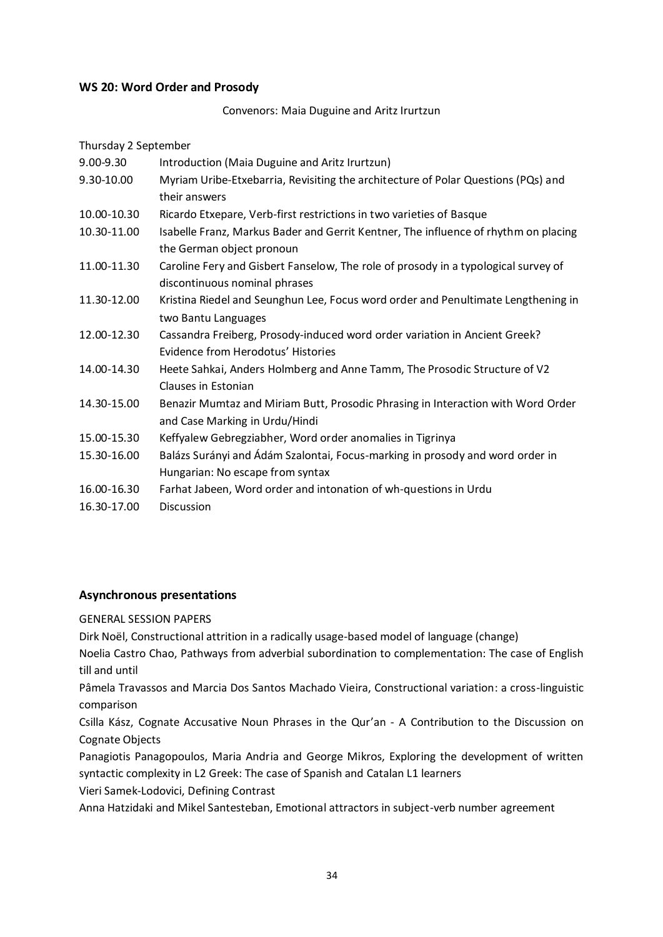### <span id="page-33-0"></span>**WS 20: Word Order and Prosody**

Convenors: Maia Duguine and Aritz Irurtzun

| Thursday 2 September |                                                                                     |
|----------------------|-------------------------------------------------------------------------------------|
| 9.00-9.30            | Introduction (Maia Duguine and Aritz Irurtzun)                                      |
| 9.30-10.00           | Myriam Uribe-Etxebarria, Revisiting the architecture of Polar Questions (PQs) and   |
|                      | their answers                                                                       |
| 10.00-10.30          | Ricardo Etxepare, Verb-first restrictions in two varieties of Basque                |
| 10.30-11.00          | Isabelle Franz, Markus Bader and Gerrit Kentner, The influence of rhythm on placing |
|                      | the German object pronoun                                                           |
| 11.00-11.30          | Caroline Fery and Gisbert Fanselow, The role of prosody in a typological survey of  |
|                      | discontinuous nominal phrases                                                       |
| 11.30-12.00          | Kristina Riedel and Seunghun Lee, Focus word order and Penultimate Lengthening in   |
|                      | two Bantu Languages                                                                 |
| 12.00-12.30          | Cassandra Freiberg, Prosody-induced word order variation in Ancient Greek?          |
|                      | Evidence from Herodotus' Histories                                                  |
| 14.00-14.30          | Heete Sahkai, Anders Holmberg and Anne Tamm, The Prosodic Structure of V2           |
|                      | <b>Clauses in Estonian</b>                                                          |
| 14.30-15.00          | Benazir Mumtaz and Miriam Butt, Prosodic Phrasing in Interaction with Word Order    |
|                      | and Case Marking in Urdu/Hindi                                                      |
| 15.00-15.30          | Keffyalew Gebregziabher, Word order anomalies in Tigrinya                           |
| 15.30-16.00          | Balázs Surányi and Ádám Szalontai, Focus-marking in prosody and word order in       |
|                      | Hungarian: No escape from syntax                                                    |
| 16.00-16.30          | Farhat Jabeen, Word order and intonation of wh-questions in Urdu                    |
| 16.30-17.00          | <b>Discussion</b>                                                                   |
|                      |                                                                                     |

### <span id="page-33-1"></span>**Asynchronous presentations**

### GENERAL SESSION PAPERS

Dirk Noël, Constructional attrition in a radically usage-based model of language (change)

Noelia Castro Chao, Pathways from adverbial subordination to complementation: The case of English till and until

Pâmela Travassos and Marcia Dos Santos Machado Vieira, Constructional variation: a cross-linguistic comparison

Csilla Kász, Cognate Accusative Noun Phrases in the Qur'an - A Contribution to the Discussion on Cognate Objects

Panagiotis Panagopoulos, Maria Andria and George Mikros, Exploring the development of written syntactic complexity in L2 Greek: The case of Spanish and Catalan L1 learners

Vieri Samek-Lodovici, Defining Contrast

Anna Hatzidaki and Mikel Santesteban, Emotional attractors in subject-verb number agreement